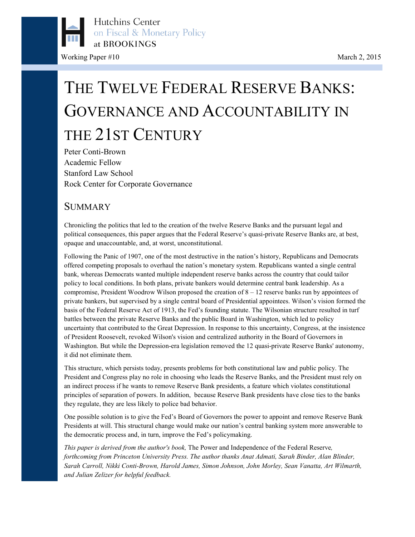

# THE TWELVE FEDERAL RESERVE BANKS: GOVERNANCE AND ACCOUNTABILITY IN THE 21ST CENTURY

Peter Conti-Brown Academic Fellow Stanford Law School Rock Center for Corporate Governance

### **SUMMARY**

Chronicling the politics that led to the creation of the twelve Reserve Banks and the pursuant legal and political consequences, this paper argues that the Federal Reserve's quasi-private Reserve Banks are, at best, opaque and unaccountable, and, at worst, unconstitutional.

Following the Panic of 1907, one of the most destructive in the nation's history, Republicans and Democrats offered competing proposals to overhaul the nation's monetary system. Republicans wanted a single central bank, whereas Democrats wanted multiple independent reserve banks across the country that could tailor policy to local conditions. In both plans, private bankers would determine central bank leadership. As a compromise, President Woodrow Wilson proposed the creation of  $8 - 12$  reserve banks run by appointees of private bankers, but supervised by a single central board of Presidential appointees. Wilson's vision formed the basis of the Federal Reserve Act of 1913, the Fed's founding statute. The Wilsonian structure resulted in turf battles between the private Reserve Banks and the public Board in Washington, which led to policy uncertainty that contributed to the Great Depression. In response to this uncertainty, Congress, at the insistence of President Roosevelt, revoked Wilson's vision and centralized authority in the Board of Governors in Washington. But while the Depression-era legislation removed the 12 quasi-private Reserve Banks' autonomy, it did not eliminate them.

This structure, which persists today, presents problems for both constitutional law and public policy. The President and Congress play no role in choosing who leads the Reserve Banks, and the President must rely on an indirect process if he wants to remove Reserve Bank presidents, a feature which violates constitutional principles of separation of powers. In addition, because Reserve Bank presidents have close ties to the banks they regulate, they are less likely to police bad behavior.

One possible solution is to give the Fed's Board of Governors the power to appoint and remove Reserve Bank Presidents at will. This structural change would make our nation's central banking system more answerable to the democratic process and, in turn, improve the Fed's policymaking.

*This paper is derived from the author's book,* The Power and Independence of the Federal Reserve*, forthcoming from Princeton University Press. The author thanks Anat Admati, Sarah Binder, Alan Blinder, Sarah Carroll, Nikki Conti-Brown, Harold James, Simon Johnson, John Morley, Sean Vanatta, Art Wilmarth, and Julian Zelizer for helpful feedback.*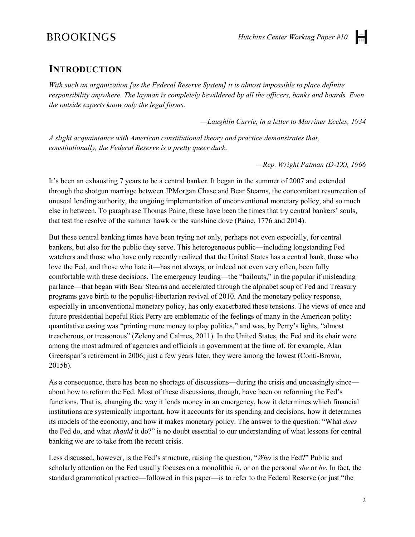### **INTRODUCTION**

*With such an organization [as the Federal Reserve System] it is almost impossible to place definite responsibility anywhere. The layman is completely bewildered by all the officers, banks and boards. Even the outside experts know only the legal forms.*

*—Laughlin Currie, in a letter to Marriner Eccles, 1934*

*A slight acquaintance with American constitutional theory and practice demonstrates that, constitutionally, the Federal Reserve is a pretty queer duck.*

*—Rep. Wright Patman (D-TX), 1966*

It's been an exhausting 7 years to be a central banker. It began in the summer of 2007 and extended through the shotgun marriage between JPMorgan Chase and Bear Stearns, the concomitant resurrection of unusual lending authority, the ongoing implementation of unconventional monetary policy, and so much else in between. To paraphrase Thomas Paine, these have been the times that try central bankers' souls, that test the resolve of the summer hawk or the sunshine dove (Paine, 1776 and 2014).

But these central banking times have been trying not only, perhaps not even especially, for central bankers, but also for the public they serve. This heterogeneous public—including longstanding Fed watchers and those who have only recently realized that the United States has a central bank, those who love the Fed, and those who hate it—has not always, or indeed not even very often, been fully comfortable with these decisions. The emergency lending—the "bailouts," in the popular if misleading parlance—that began with Bear Stearns and accelerated through the alphabet soup of Fed and Treasury programs gave birth to the populist-libertarian revival of 2010. And the monetary policy response, especially in unconventional monetary policy, has only exacerbated these tensions. The views of once and future presidential hopeful Rick Perry are emblematic of the feelings of many in the American polity: quantitative easing was "printing more money to play politics," and was, by Perry's lights, "almost treacherous, or treasonous" (Zeleny and Calmes, 2011). In the United States, the Fed and its chair were among the most admired of agencies and officials in government at the time of, for example, Alan Greenspan's retirement in 2006; just a few years later, they were among the lowest (Conti-Brown, 2015b).

As a consequence, there has been no shortage of discussions—during the crisis and unceasingly since about how to reform the Fed. Most of these discussions, though, have been on reforming the Fed's functions. That is, changing the way it lends money in an emergency, how it determines which financial institutions are systemically important, how it accounts for its spending and decisions, how it determines its models of the economy, and how it makes monetary policy. The answer to the question: "What *does* the Fed do, and what *should* it do?" is no doubt essential to our understanding of what lessons for central banking we are to take from the recent crisis.

Less discussed, however, is the Fed's structure, raising the question, "*Who* is the Fed?" Public and scholarly attention on the Fed usually focuses on a monolithic *it*, or on the personal *she* or *he*. In fact, the standard grammatical practice—followed in this paper—is to refer to the Federal Reserve (or just "the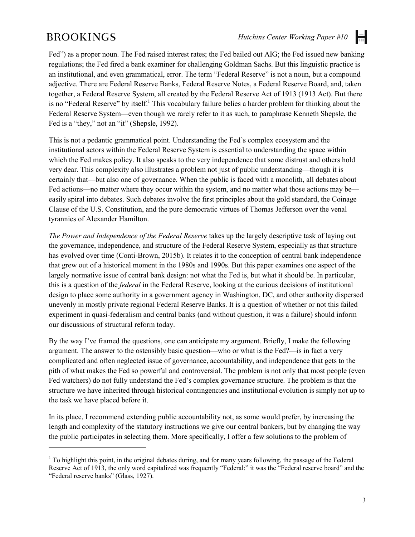$\overline{a}$ 

Fed") as a proper noun. The Fed raised interest rates; the Fed bailed out AIG; the Fed issued new banking regulations; the Fed fired a bank examiner for challenging Goldman Sachs. But this linguistic practice is an institutional, and even grammatical, error. The term "Federal Reserve" is not a noun, but a compound adjective. There are Federal Reserve Banks, Federal Reserve Notes, a Federal Reserve Board, and, taken together, a Federal Reserve System, all created by the Federal Reserve Act of 1913 (1913 Act). But there is no "Federal Reserve" by itself.<sup>1</sup> This vocabulary failure belies a harder problem for thinking about the Federal Reserve System—even though we rarely refer to it as such, to paraphrase Kenneth Shepsle, the Fed is a "they," not an "it" (Shepsle, 1992).

This is not a pedantic grammatical point. Understanding the Fed's complex ecosystem and the institutional actors within the Federal Reserve System is essential to understanding the space within which the Fed makes policy. It also speaks to the very independence that some distrust and others hold very dear. This complexity also illustrates a problem not just of public understanding—though it is certainly that—but also one of governance. When the public is faced with a monolith, all debates about Fed actions—no matter where they occur within the system, and no matter what those actions may be easily spiral into debates. Such debates involve the first principles about the gold standard, the Coinage Clause of the U.S. Constitution, and the pure democratic virtues of Thomas Jefferson over the venal tyrannies of Alexander Hamilton.

*The Power and Independence of the Federal Reserve* takes up the largely descriptive task of laying out the governance, independence, and structure of the Federal Reserve System, especially as that structure has evolved over time (Conti-Brown, 2015b). It relates it to the conception of central bank independence that grew out of a historical moment in the 1980s and 1990s. But this paper examines one aspect of the largely normative issue of central bank design: not what the Fed is, but what it should be. In particular, this is a question of the *federal* in the Federal Reserve, looking at the curious decisions of institutional design to place some authority in a government agency in Washington, DC, and other authority dispersed unevenly in mostly private regional Federal Reserve Banks. It is a question of whether or not this failed experiment in quasi-federalism and central banks (and without question, it was a failure) should inform our discussions of structural reform today.

By the way I've framed the questions, one can anticipate my argument. Briefly, I make the following argument. The answer to the ostensibly basic question—who or what is the Fed?—is in fact a very complicated and often neglected issue of governance, accountability, and independence that gets to the pith of what makes the Fed so powerful and controversial. The problem is not only that most people (even Fed watchers) do not fully understand the Fed's complex governance structure. The problem is that the structure we have inherited through historical contingencies and institutional evolution is simply not up to the task we have placed before it.

In its place, I recommend extending public accountability not, as some would prefer, by increasing the length and complexity of the statutory instructions we give our central bankers, but by changing the way the public participates in selecting them. More specifically, I offer a few solutions to the problem of

<sup>&</sup>lt;sup>1</sup> To highlight this point, in the original debates during, and for many years following, the passage of the Federal Reserve Act of 1913, the only word capitalized was frequently "Federal:" it was the "Federal reserve board" and the "Federal reserve banks" (Glass, 1927).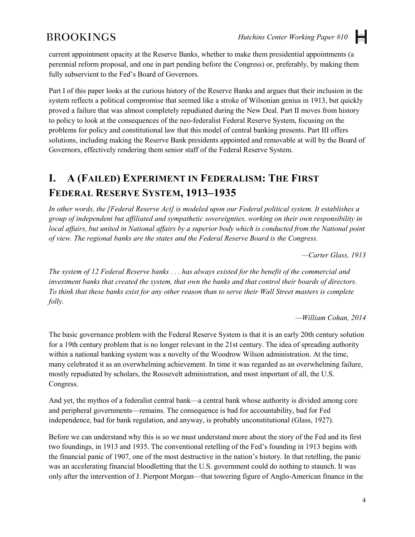H

current appointment opacity at the Reserve Banks, whether to make them presidential appointments (a perennial reform proposal, and one in part pending before the Congress) or, preferably, by making them fully subservient to the Fed's Board of Governors.

Part I of this paper looks at the curious history of the Reserve Banks and argues that their inclusion in the system reflects a political compromise that seemed like a stroke of Wilsonian genius in 1913, but quickly proved a failure that was almost completely repudiated during the New Deal. Part II moves from history to policy to look at the consequences of the neo-federalist Federal Reserve System, focusing on the problems for policy and constitutional law that this model of central banking presents. Part III offers solutions, including making the Reserve Bank presidents appointed and removable at will by the Board of Governors, effectively rendering them senior staff of the Federal Reserve System.

# **I. A (FAILED) EXPERIMENT IN FEDERALISM: THE FIRST FEDERAL RESERVE SYSTEM, 1913–1935**

*In other words, the [Federal Reserve Act] is modeled upon our Federal political system. It establishes a group of independent but affiliated and sympathetic sovereignties, working on their own responsibility in local affairs, but united in National affairs by a superior body which is conducted from the National point of view. The regional banks are the states and the Federal Reserve Board is the Congress.*

*—Carter Glass, 1913*

*The system of 12 Federal Reserve banks . . . has always existed for the benefit of the commercial and investment banks that created the system, that own the banks and that control their boards of directors. To think that these banks exist for any other reason than to serve their Wall Street masters is complete folly.*

*—William Cohan, 2014*

The basic governance problem with the Federal Reserve System is that it is an early 20th century solution for a 19th century problem that is no longer relevant in the 21st century. The idea of spreading authority within a national banking system was a novelty of the Woodrow Wilson administration. At the time, many celebrated it as an overwhelming achievement. In time it was regarded as an overwhelming failure, mostly repudiated by scholars, the Roosevelt administration, and most important of all, the U.S. Congress.

And yet, the mythos of a federalist central bank—a central bank whose authority is divided among core and peripheral governments—remains. The consequence is bad for accountability, bad for Fed independence, bad for bank regulation, and anyway, is probably unconstitutional (Glass, 1927).

Before we can understand why this is so we must understand more about the story of the Fed and its first two foundings, in 1913 and 1935. The conventional retelling of the Fed's founding in 1913 begins with the financial panic of 1907, one of the most destructive in the nation's history. In that retelling, the panic was an accelerating financial bloodletting that the U.S. government could do nothing to staunch. It was only after the intervention of J. Pierpont Morgan—that towering figure of Anglo-American finance in the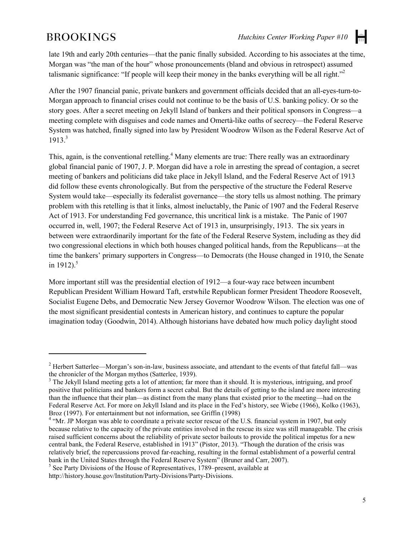$\overline{a}$ 

H

late 19th and early 20th centuries—that the panic finally subsided. According to his associates at the time, Morgan was "the man of the hour" whose pronouncements (bland and obvious in retrospect) assumed talismanic significance: "If people will keep their money in the banks everything will be all right."<sup>2</sup>

After the 1907 financial panic, private bankers and government officials decided that an all-eyes-turn-to-Morgan approach to financial crises could not continue to be the basis of U.S. banking policy. Or so the story goes. After a secret meeting on Jekyll Island of bankers and their political sponsors in Congress—a meeting complete with disguises and code names and Omertà-like oaths of secrecy—the Federal Reserve System was hatched, finally signed into law by President Woodrow Wilson as the Federal Reserve Act of  $1913<sup>3</sup>$ 

This, again, is the conventional retelling.<sup>4</sup> Many elements are true: There really was an extraordinary global financial panic of 1907, J. P. Morgan did have a role in arresting the spread of contagion, a secret meeting of bankers and politicians did take place in Jekyll Island, and the Federal Reserve Act of 1913 did follow these events chronologically. But from the perspective of the structure the Federal Reserve System would take—especially its federalist governance—the story tells us almost nothing. The primary problem with this retelling is that it links, almost ineluctably, the Panic of 1907 and the Federal Reserve Act of 1913. For understanding Fed governance, this uncritical link is a mistake. The Panic of 1907 occurred in, well, 1907; the Federal Reserve Act of 1913 in, unsurprisingly, 1913. The six years in between were extraordinarily important for the fate of the Federal Reserve System, including as they did two congressional elections in which both houses changed political hands, from the Republicans—at the time the bankers' primary supporters in Congress—to Democrats (the House changed in 1910, the Senate in 1912).<sup>5</sup>

More important still was the presidential election of 1912—a four-way race between incumbent Republican President William Howard Taft, erstwhile Republican former President Theodore Roosevelt, Socialist Eugene Debs, and Democratic New Jersey Governor Woodrow Wilson. The election was one of the most significant presidential contests in American history, and continues to capture the popular imagination today (Goodwin, 2014). Although historians have debated how much policy daylight stood

<sup>&</sup>lt;sup>2</sup> Herbert Satterlee—Morgan's son-in-law, business associate, and attendant to the events of that fateful fall—was the chronicler of the Morgan mythos (Satterlee, 1939).

 $3$  The Jekyll Island meeting gets a lot of attention; far more than it should. It is mysterious, intriguing, and proof positive that politicians and bankers form a secret cabal. But the details of getting to the island are more interesting than the influence that their plan—as distinct from the many plans that existed prior to the meeting—had on the Federal Reserve Act. For more on Jekyll Island and its place in the Fed's history, see Wiebe (1966), Kolko (1963), Broz (1997). For entertainment but not information, see Griffin (1998)<br><sup>4</sup> "Mr. JP Morgan was able to coordinate a private sector rescue of the U.S. financial system in 1907, but only

because relative to the capacity of the private entities involved in the rescue its size was still manageable. The crisis raised sufficient concerns about the reliability of private sector bailouts to provide the political impetus for a new central bank, the Federal Reserve, established in 1913" (Pistor, 2013). "Though the duration of the crisis was relatively brief, the repercussions proved far-reaching, resulting in the formal establishment of a powerful central bank in the United States through the Federal Reserve System" (Bruner and Carr, 2007).<br><sup>5</sup> See Party Divisions of the House of Representatives, 1789–present, available at

[http://history.house.gov/Institution/Party-Divisions/Party-Divisions.](http://history.house.gov/Institution/Party-Divisions/Party-Divisions.%20Woul.d)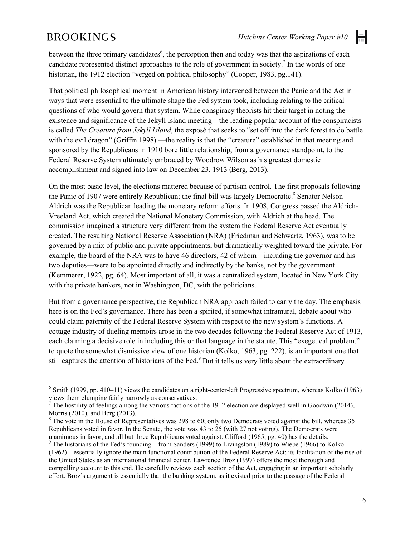$\overline{a}$ 

H

between the three primary candidates<sup>6</sup>, the perception then and today was that the aspirations of each candidate represented distinct approaches to the role of government in society.<sup>7</sup> In the words of one historian, the 1912 election "verged on political philosophy" (Cooper, 1983, pg.141).

That political philosophical moment in American history intervened between the Panic and the Act in ways that were essential to the ultimate shape the Fed system took, including relating to the critical questions of who would govern that system. While conspiracy theorists hit their target in noting the existence and significance of the Jekyll Island meeting—the leading popular account of the conspiracists is called *The Creature from Jekyll Island*, the exposé that seeks to "set off into the dark forest to do battle with the evil dragon" (Griffin 1998) —the reality is that the "creature" established in that meeting and sponsored by the Republicans in 1910 bore little relationship, from a governance standpoint, to the Federal Reserve System ultimately embraced by Woodrow Wilson as his greatest domestic accomplishment and signed into law on December 23, 1913 (Berg, 2013).

On the most basic level, the elections mattered because of partisan control. The first proposals following the Panic of 1907 were entirely Republican; the final bill was largely Democratic.<sup>8</sup> Senator Nelson Aldrich was the Republican leading the monetary reform efforts. In 1908, Congress passed the Aldrich-Vreeland Act, which created the National Monetary Commission, with Aldrich at the head. The commission imagined a structure very different from the system the Federal Reserve Act eventually created. The resulting National Reserve Association (NRA) (Friedman and Schwartz, 1963), was to be governed by a mix of public and private appointments, but dramatically weighted toward the private. For example, the board of the NRA was to have 46 directors, 42 of whom—including the governor and his two deputies—were to be appointed directly and indirectly by the banks, not by the government (Kemmerer, 1922, pg. 64). Most important of all, it was a centralized system, located in New York City with the private bankers, not in Washington, DC, with the politicians.

But from a governance perspective, the Republican NRA approach failed to carry the day. The emphasis here is on the Fed's governance. There has been a spirited, if somewhat intramural, debate about who could claim paternity of the Federal Reserve System with respect to the new system's functions. A cottage industry of dueling memoirs arose in the two decades following the Federal Reserve Act of 1913, each claiming a decisive role in including this or that language in the statute. This "exegetical problem," to quote the somewhat dismissive view of one historian (Kolko, 1963, pg. 222), is an important one that still captures the attention of historians of the Fed.<sup>9</sup> But it tells us very little about the extraordinary

 $6$  Smith (1999, pp. 410–11) views the candidates on a right-center-left Progressive spectrum, whereas Kolko (1963) views them clumping fairly narrowly as conservatives.

<sup>&</sup>lt;sup>7</sup> The hostility of feelings among the various factions of the 1912 election are displayed well in Goodwin (2014), Morris (2010), and Berg (2013).<br><sup>8</sup> The vote in the House of Representatives was 298 to 60; only two Democrats voted against the bill, whereas 35

Republicans voted in favor. In the Senate, the vote was 43 to 25 (with 27 not voting). The Democrats were unanimous in favor, and all but three Republicans voted against. Clifford (1965, pg. 40) has the details.

 $\degree$  The historians of the Fed's founding—from Sanders (1999) to Livingston (1989) to Wiebe (1966) to Kolko (1962)—essentially ignore the main functional contribution of the Federal Reserve Act: its facilitation of the rise of the United States as an international financial center. Lawrence Broz (1997) offers the most thorough and compelling account to this end. He carefully reviews each section of the Act, engaging in an important scholarly effort. Broz's argument is essentially that the banking system, as it existed prior to the passage of the Federal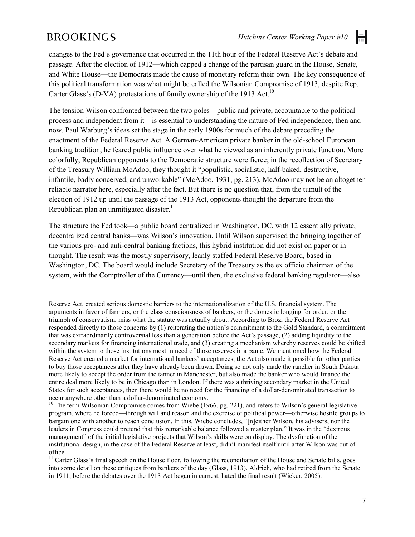$\overline{a}$ 

la l

changes to the Fed's governance that occurred in the 11th hour of the Federal Reserve Act's debate and passage. After the election of 1912—which capped a change of the partisan guard in the House, Senate, and White House—the Democrats made the cause of monetary reform their own. The key consequence of this political transformation was what might be called the Wilsonian Compromise of 1913, despite Rep. Carter Glass's (D-VA) protestations of family ownership of the 1913 Act.<sup>10</sup>

The tension Wilson confronted between the two poles—public and private, accountable to the political process and independent from it—is essential to understanding the nature of Fed independence, then and now. Paul Warburg's ideas set the stage in the early 1900s for much of the debate preceding the enactment of the Federal Reserve Act. A German-American private banker in the old-school European banking tradition, he feared public influence over what he viewed as an inherently private function. More colorfully, Republican opponents to the Democratic structure were fierce; in the recollection of Secretary of the Treasury William McAdoo, they thought it "populistic, socialistic, half-baked, destructive, infantile, badly conceived, and unworkable" (McAdoo, 1931, pg. 213). McAdoo may not be an altogether reliable narrator here, especially after the fact. But there is no question that, from the tumult of the election of 1912 up until the passage of the 1913 Act, opponents thought the departure from the Republican plan an unmitigated disaster.<sup>11</sup>

The structure the Fed took—a public board centralized in Washington, DC, with 12 essentially private, decentralized central banks—was Wilson's innovation. Until Wilson supervised the bringing together of the various pro- and anti-central banking factions, this hybrid institution did not exist on paper or in thought. The result was the mostly supervisory, leanly staffed Federal Reserve Board, based in Washington, DC. The board would include Secretary of the Treasury as the ex officio chairman of the system, with the Comptroller of the Currency—until then, the exclusive federal banking regulator—also

Reserve Act, created serious domestic barriers to the internationalization of the U.S. financial system. The arguments in favor of farmers, or the class consciousness of bankers, or the domestic longing for order, or the triumph of conservatism, miss what the statute was actually about. According to Broz, the Federal Reserve Act responded directly to those concerns by (1) reiterating the nation's commitment to the Gold Standard, a commitment that was extraordinarily controversial less than a generation before the Act's passage, (2) adding liquidity to the secondary markets for financing international trade, and (3) creating a mechanism whereby reserves could be shifted within the system to those institutions most in need of those reserves in a panic. We mentioned how the Federal Reserve Act created a market for international bankers' acceptances; the Act also made it possible for other parties to buy those acceptances after they have already been drawn. Doing so not only made the rancher in South Dakota more likely to accept the order from the tanner in Manchester, but also made the banker who would finance the entire deal more likely to be in Chicago than in London. If there was a thriving secondary market in the United States for such acceptances, then there would be no need for the financing of a dollar-denominated transaction to occur anywhere other than a dollar-denominated economy.

 $10$  The term Wilsonian Compromise comes from Wiebe (1966, pg. 221), and refers to Wilson's general legislative program, where he forced—through will and reason and the exercise of political power—otherwise hostile groups to bargain one with another to reach conclusion. In this, Wiebe concludes, "[n]either Wilson, his advisers, nor the leaders in Congress could pretend that this remarkable balance followed a master plan." It was in the "dextrous management" of the initial legislative projects that Wilson's skills were on display. The dysfunction of the institutional design, in the case of the Federal Reserve at least, didn't manifest itself until after Wilson was out of

 $11$  Carter Glass's final speech on the House floor, following the reconciliation of the House and Senate bills, goes into some detail on these critiques from bankers of the day (Glass, 1913). Aldrich, who had retired from the Senate in 1911, before the debates over the 1913 Act began in earnest, hated the final result (Wicker, 2005).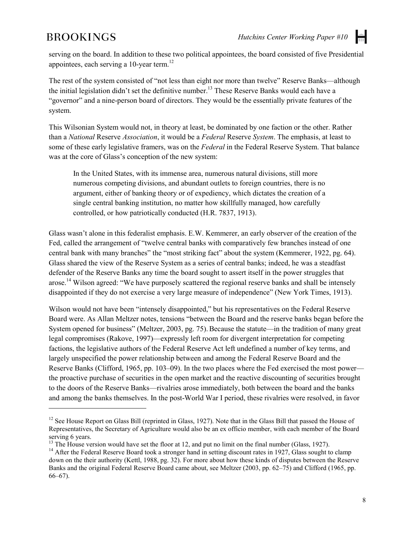$\overline{a}$ 

serving on the board. In addition to these two political appointees, the board consisted of five Presidential appointees, each serving a 10-year term.<sup>12</sup>

The rest of the system consisted of "not less than eight nor more than twelve" Reserve Banks—although the initial legislation didn't set the definitive number.<sup>13</sup> These Reserve Banks would each have a "governor" and a nine-person board of directors. They would be the essentially private features of the system.

This Wilsonian System would not, in theory at least, be dominated by one faction or the other. Rather than a *National* Reserve *Association*, it would be a *Federal* Reserve *System*. The emphasis, at least to some of these early legislative framers, was on the *Federal* in the Federal Reserve System. That balance was at the core of Glass's conception of the new system:

In the United States, with its immense area, numerous natural divisions, still more numerous competing divisions, and abundant outlets to foreign countries, there is no argument, either of banking theory or of expediency, which dictates the creation of a single central banking institution, no matter how skillfully managed, how carefully controlled, or how patriotically conducted (H.R. 7837, 1913).

Glass wasn't alone in this federalist emphasis. E.W. Kemmerer, an early observer of the creation of the Fed, called the arrangement of "twelve central banks with comparatively few branches instead of one central bank with many branches" the "most striking fact" about the system (Kemmerer, 1922, pg. 64). Glass shared the view of the Reserve System as a series of central banks; indeed, he was a steadfast defender of the Reserve Banks any time the board sought to assert itself in the power struggles that arose.14 Wilson agreed: "We have purposely scattered the regional reserve banks and shall be intensely disappointed if they do not exercise a very large measure of independence" (New York Times, 1913).

Wilson would not have been "intensely disappointed," but his representatives on the Federal Reserve Board were. As Allan Meltzer notes, tensions "between the Board and the reserve banks began before the System opened for business" (Meltzer, 2003, pg. 75). Because the statute—in the tradition of many great legal compromises (Rakove, 1997)—expressly left room for divergent interpretation for competing factions, the legislative authors of the Federal Reserve Act left undefined a number of key terms, and largely unspecified the power relationship between and among the Federal Reserve Board and the Reserve Banks (Clifford, 1965, pp. 103–09). In the two places where the Fed exercised the most power the proactive purchase of securities in the open market and the reactive discounting of securities brought to the doors of the Reserve Banks—rivalries arose immediately, both between the board and the banks and among the banks themselves. In the post-World War I period, these rivalries were resolved, in favor

 $12$  See House Report on Glass Bill (reprinted in Glass, 1927). Note that in the Glass Bill that passed the House of Representatives, the Secretary of Agriculture would also be an ex officio member, with each member of the Board serving 6 years.<br><sup>13</sup> The House version would have set the floor at 12, and put no limit on the final number (Glass, 1927).<br><sup>14</sup> After the Federal Reserve Board took a stronger hand in setting discount rates in 1927, Glas

down on the their authority (Kettl, 1988, pg. 32). For more about how these kinds of disputes between the Reserve Banks and the original Federal Reserve Board came about, see Meltzer (2003, pp. 62–75) and Clifford (1965, pp. 66–67).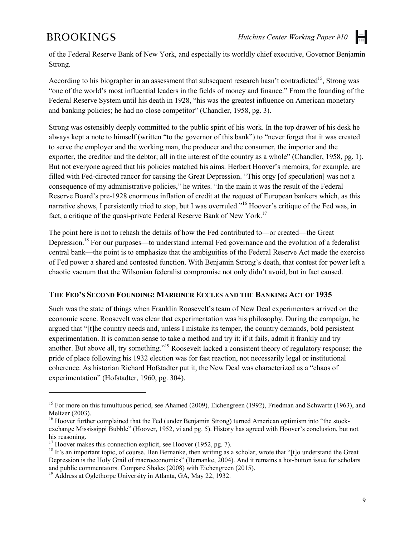of the Federal Reserve Bank of New York, and especially its worldly chief executive, Governor Benjamin Strong.

According to his biographer in an assessment that subsequent research hasn't contradicted<sup>15</sup>. Strong was "one of the world's most influential leaders in the fields of money and finance." From the founding of the Federal Reserve System until his death in 1928, "his was the greatest influence on American monetary and banking policies; he had no close competitor" (Chandler, 1958, pg. 3).

Strong was ostensibly deeply committed to the public spirit of his work. In the top drawer of his desk he always kept a note to himself (written "to the governor of this bank") to "never forget that it was created to serve the employer and the working man, the producer and the consumer, the importer and the exporter, the creditor and the debtor; all in the interest of the country as a whole" (Chandler, 1958, pg. 1). But not everyone agreed that his policies matched his aims. Herbert Hoover's memoirs, for example, are filled with Fed-directed rancor for causing the Great Depression. "This orgy [of speculation] was not a consequence of my administrative policies," he writes. "In the main it was the result of the Federal Reserve Board's pre-1928 enormous inflation of credit at the request of European bankers which, as this narrative shows. I persistently tried to stop, but I was overruled."<sup>16</sup> Hoover's critique of the Fed was, in fact, a critique of the quasi-private Federal Reserve Bank of New York.<sup>17</sup>

The point here is not to rehash the details of how the Fed contributed to—or created—the Great Depression.<sup>18</sup> For our purposes—to understand internal Fed governance and the evolution of a federalist central bank—the point is to emphasize that the ambiguities of the Federal Reserve Act made the exercise of Fed power a shared and contested function. With Benjamin Strong's death, that contest for power left a chaotic vacuum that the Wilsonian federalist compromise not only didn't avoid, but in fact caused.

#### **THE FED'S SECOND FOUNDING: MARRINER ECCLES AND THE BANKING ACT OF 1935**

Such was the state of things when Franklin Roosevelt's team of New Deal experimenters arrived on the economic scene. Roosevelt was clear that experimentation was his philosophy. During the campaign, he argued that "[t]he country needs and, unless I mistake its temper, the country demands, bold persistent experimentation. It is common sense to take a method and try it: if it fails, admit it frankly and try another. But above all, try something."<sup>19</sup> Roosevelt lacked a consistent theory of regulatory response; the pride of place following his 1932 election was for fast reaction, not necessarily legal or institutional coherence. As historian Richard Hofstadter put it, the New Deal was characterized as a "chaos of experimentation" (Hofstadter, 1960, pg. 304).

 $\overline{a}$ 

<sup>&</sup>lt;sup>15</sup> For more on this tumultuous period, see Ahamed (2009), Eichengreen (1992), Friedman and Schwartz (1963), and Meltzer (2003).<br><sup>16</sup> Hoover further complained that the Fed (under Benjamin Strong) turned American optimism into "the stock-

exchange Mississippi Bubble" (Hoover, 1952, vi and pg. 5). History has agreed with Hoover's conclusion, but not his reasoning.<br> $^{17}$  Hoover makes this connection explicit, see Hoover (1952, pg. 7).

 $18$  It's an important topic, of course. Ben Bernanke, then writing as a scholar, wrote that "[t]o understand the Great Depression is the Holy Grail of macroeconomics" (Bernanke, 2004). And it remains a hot-button issue for scholars and public commentators. Compare Shales (2008) with Eichengreen (2015).

 $19$  Address at Oglethorpe University in Atlanta, GA, May 22, 1932.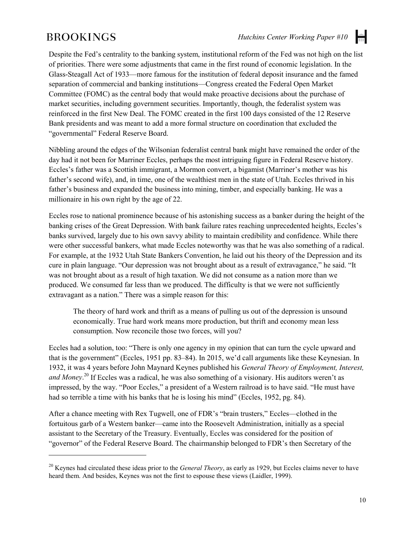$\overline{a}$ 

H

Despite the Fed's centrality to the banking system, institutional reform of the Fed was not high on the list of priorities. There were some adjustments that came in the first round of economic legislation. In the Glass-Steagall Act of 1933—more famous for the institution of federal deposit insurance and the famed separation of commercial and banking institutions—Congress created the Federal Open Market Committee (FOMC) as the central body that would make proactive decisions about the purchase of market securities, including government securities. Importantly, though, the federalist system was reinforced in the first New Deal. The FOMC created in the first 100 days consisted of the 12 Reserve Bank presidents and was meant to add a more formal structure on coordination that excluded the "governmental" Federal Reserve Board.

Nibbling around the edges of the Wilsonian federalist central bank might have remained the order of the day had it not been for Marriner Eccles, perhaps the most intriguing figure in Federal Reserve history. Eccles's father was a Scottish immigrant, a Mormon convert, a bigamist (Marriner's mother was his father's second wife), and, in time, one of the wealthiest men in the state of Utah. Eccles thrived in his father's business and expanded the business into mining, timber, and especially banking. He was a millionaire in his own right by the age of 22.

Eccles rose to national prominence because of his astonishing success as a banker during the height of the banking crises of the Great Depression. With bank failure rates reaching unprecedented heights, Eccles's banks survived, largely due to his own savvy ability to maintain credibility and confidence. While there were other successful bankers, what made Eccles noteworthy was that he was also something of a radical. For example, at the 1932 Utah State Bankers Convention, he laid out his theory of the Depression and its cure in plain language. "Our depression was not brought about as a result of extravagance," he said. "It was not brought about as a result of high taxation. We did not consume as a nation more than we produced. We consumed far less than we produced. The difficulty is that we were not sufficiently extravagant as a nation." There was a simple reason for this:

The theory of hard work and thrift as a means of pulling us out of the depression is unsound economically. True hard work means more production, but thrift and economy mean less consumption. Now reconcile those two forces, will you?

Eccles had a solution, too: "There is only one agency in my opinion that can turn the cycle upward and that is the government" (Eccles, 1951 pp. 83–84). In 2015, we'd call arguments like these Keynesian. In 1932, it was 4 years before John Maynard Keynes published his *General Theory of Employment, Interest, and Money*. <sup>20</sup> If Eccles was a radical, he was also something of a visionary. His auditors weren't as impressed, by the way. "Poor Eccles," a president of a Western railroad is to have said. "He must have had so terrible a time with his banks that he is losing his mind" (Eccles, 1952, pg. 84).

After a chance meeting with Rex Tugwell, one of FDR's "brain trusters," Eccles—clothed in the fortuitous garb of a Western banker—came into the Roosevelt Administration, initially as a special assistant to the Secretary of the Treasury. Eventually, Eccles was considered for the position of "governor" of the Federal Reserve Board. The chairmanship belonged to FDR's then Secretary of the

<sup>20</sup> Keynes had circulated these ideas prior to the *General Theory*, as early as 1929, but Eccles claims never to have heard them. And besides, Keynes was not the first to espouse these views (Laidler, 1999).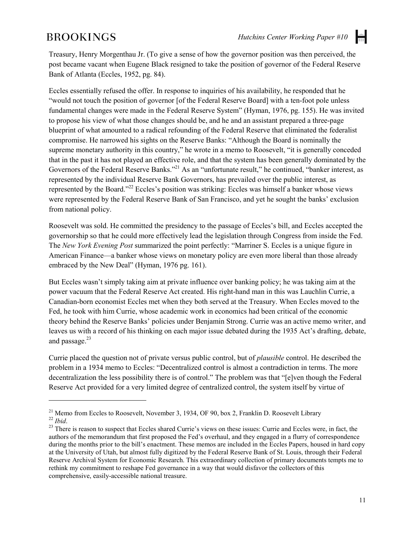$\overline{a}$ 

 $\left| \frac{1}{1+1} \right|$ 

Treasury, Henry Morgenthau Jr. (To give a sense of how the governor position was then perceived, the post became vacant when Eugene Black resigned to take the position of governor of the Federal Reserve Bank of Atlanta (Eccles, 1952, pg. 84).

Eccles essentially refused the offer. In response to inquiries of his availability, he responded that he "would not touch the position of governor [of the Federal Reserve Board] with a ten-foot pole unless fundamental changes were made in the Federal Reserve System" (Hyman, 1976, pg. 155). He was invited to propose his view of what those changes should be, and he and an assistant prepared a three-page blueprint of what amounted to a radical refounding of the Federal Reserve that eliminated the federalist compromise. He narrowed his sights on the Reserve Banks: "Although the Board is nominally the supreme monetary authority in this country," he wrote in a memo to Roosevelt, "it is generally conceded that in the past it has not played an effective role, and that the system has been generally dominated by the Governors of the Federal Reserve Banks."<sup>21</sup> As an "unfortunate result," he continued, "banker interest, as represented by the individual Reserve Bank Governors, has prevailed over the public interest, as represented by the Board."22 Eccles's position was striking: Eccles was himself a banker whose views were represented by the Federal Reserve Bank of San Francisco, and yet he sought the banks' exclusion from national policy.

Roosevelt was sold. He committed the presidency to the passage of Eccles's bill, and Eccles accepted the governorship so that he could more effectively lead the legislation through Congress from inside the Fed. The *New York Evening Post* summarized the point perfectly: "Marriner S. Eccles is a unique figure in American Finance—a banker whose views on monetary policy are even more liberal than those already embraced by the New Deal" (Hyman, 1976 pg. 161).

But Eccles wasn't simply taking aim at private influence over banking policy; he was taking aim at the power vacuum that the Federal Reserve Act created. His right-hand man in this was Lauchlin Currie, a Canadian-born economist Eccles met when they both served at the Treasury. When Eccles moved to the Fed, he took with him Currie, whose academic work in economics had been critical of the economic theory behind the Reserve Banks' policies under Benjamin Strong. Currie was an active memo writer, and leaves us with a record of his thinking on each major issue debated during the 1935 Act's drafting, debate, and passage.<sup>23</sup>

Currie placed the question not of private versus public control, but of *plausible* control. He described the problem in a 1934 memo to Eccles: "Decentralized control is almost a contradiction in terms. The more decentralization the less possibility there is of control." The problem was that "[e]ven though the Federal Reserve Act provided for a very limited degree of centralized control, the system itself by virtue of

<sup>&</sup>lt;sup>21</sup> Memo from Eccles to Roosevelt, November 3, 1934, OF 90, box 2, Franklin D. Roosevelt Library<br><sup>22</sup> *Ibid.*<br><sup>23</sup> There is reason to suspect that Eccles shared Currie's views on these issues: Currie and Eccles were, in

authors of the memorandum that first proposed the Fed's overhaul, and they engaged in a flurry of correspondence during the months prior to the bill's enactment. These memos are included in the Eccles Papers, housed in hard copy at the University of Utah, but almost fully digitized by the Federal Reserve Bank of St. Louis, through their Federal Reserve Archival System for Economic Research. This extraordinary collection of primary documents tempts me to rethink my commitment to reshape Fed governance in a way that would disfavor the collectors of this comprehensive, easily-accessible national treasure.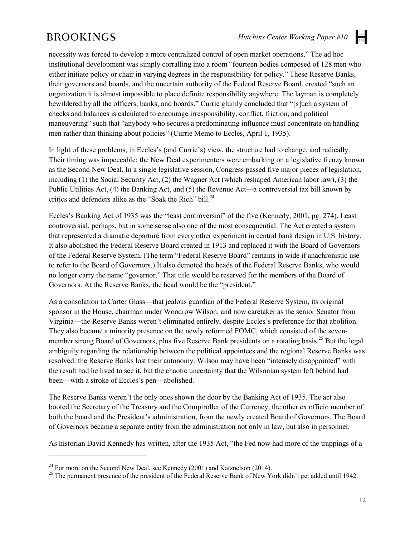$\left| \frac{1}{1+1} \right|$ 

necessity was forced to develop a more centralized control of open market operations." The ad hoc institutional development was simply corralling into a room "fourteen bodies composed of 128 men who either initiate policy or chair in varying degrees in the responsibility for policy." These Reserve Banks, their governors and boards, and the uncertain authority of the Federal Reserve Board, created "such an organization it is almost impossible to place definite responsibility anywhere. The layman is completely bewildered by all the officers, banks, and boards." Currie glumly concluded that "[s]uch a system of checks and balances is calculated to encourage irresponsibility, conflict, friction, and political maneuvering" such that "anybody who secures a predominating influence must concentrate on handling men rather than thinking about policies" (Currie Memo to Eccles, April 1, 1935).

In light of these problems, in Eccles's (and Currie's) view, the structure had to change, and radically. Their timing was impeccable: the New Deal experimenters were embarking on a legislative frenzy known as the Second New Deal. In a single legislative session, Congress passed five major pieces of legislation, including (1) the Social Security Act, (2) the Wagner Act (which reshaped American labor law), (3) the Public Utilities Act, (4) the Banking Act, and (5) the Revenue Act—a controversial tax bill known by critics and defenders alike as the "Soak the Rich" bill.<sup>24</sup>

Eccles's Banking Act of 1935 was the "least controversial" of the five (Kennedy, 2001, pg. 274). Least controversial, perhaps, but in some sense also one of the most consequential. The Act created a system that represented a dramatic departure from every other experiment in central bank design in U.S. history. It also abolished the Federal Reserve Board created in 1913 and replaced it with the Board of Governors of the Federal Reserve System. (The term "Federal Reserve Board" remains in wide if anachronistic use to refer to the Board of Governors.) It also demoted the heads of the Federal Reserve Banks, who would no longer carry the name "governor." That title would be reserved for the members of the Board of Governors. At the Reserve Banks, the head would be the "president."

As a consolation to Carter Glass—that jealous guardian of the Federal Reserve System, its original sponsor in the House, chairman under Woodrow Wilson, and now caretaker as the senior Senator from Virginia—the Reserve Banks weren't eliminated entirely, despite Eccles's preference for that abolition. They also became a minority presence on the newly reformed FOMC, which consisted of the sevenmember strong Board of Governors, plus five Reserve Bank presidents on a rotating basis.<sup>25</sup> But the legal ambiguity regarding the relationship between the political appointees and the regional Reserve Banks was resolved: the Reserve Banks lost their autonomy. Wilson may have been "intensely disappointed" with the result had he lived to see it, but the chaotic uncertainty that the Wilsonian system left behind had been—with a stroke of Eccles's pen—abolished.

The Reserve Banks weren't the only ones shown the door by the Banking Act of 1935. The act also booted the Secretary of the Treasury and the Comptroller of the Currency, the other ex officio member of both the board and the President's administration, from the newly created Board of Governors. The Board of Governors became a separate entity from the administration not only in law, but also in personnel.

As historian David Kennedy has written, after the 1935 Act, "the Fed now had more of the trappings of a

 $\overline{a}$ 

<sup>&</sup>lt;sup>24</sup> For more on the Second New Deal, see Kennedy (2001) and Katznelson (2014).<br><sup>25</sup> The permanent presence of the president of the Federal Reserve Bank of New York didn't get added until 1942.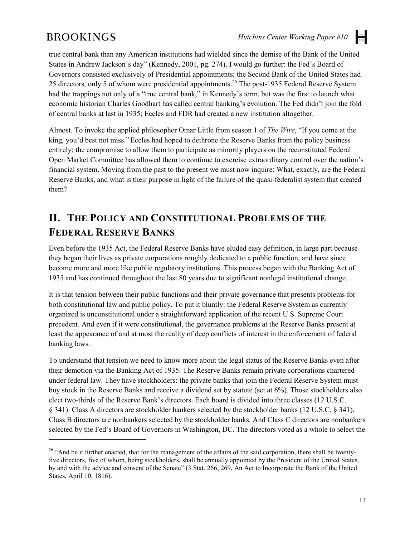$\overline{a}$ 

H

true central bank than any American institutions had wielded since the demise of the Bank of the United States in Andrew Jackson's day" (Kennedy, 2001, pg. 274). I would go further: the Fed's Board of Governors consisted exclusively of Presidential appointments; the Second Bank of the United States had 25 directors, only 5 of whom were presidential appointments.<sup>26</sup> The post-1935 Federal Reserve System had the trappings not only of a "true central bank," in Kennedy's term, but was the first to launch what economic historian Charles Goodhart has called central banking's evolution. The Fed didn't join the fold of central banks at last in 1935; Eccles and FDR had created a new institution altogether.

Almost. To invoke the applied philosopher Omar Little from season 1 of *The Wire*, "If you come at the king, you'd best not miss." Eccles had hoped to dethrone the Reserve Banks from the policy business entirely; the compromise to allow them to participate as minority players on the reconstituted Federal Open Market Committee has allowed them to continue to exercise extraordinary control over the nation's financial system. Moving from the past to the present we must now inquire: What, exactly, are the Federal Reserve Banks, and what is their purpose in light of the failure of the quasi-federalist system that created them?

# **II. THE POLICY AND CONSTITUTIONAL PROBLEMS OF THE FEDERAL RESERVE BANKS**

Even before the 1935 Act, the Federal Reserve Banks have eluded easy definition, in large part because they began their lives as private corporations roughly dedicated to a public function, and have since become more and more like public regulatory institutions. This process began with the Banking Act of 1935 and has continued throughout the last 80 years due to significant nonlegal institutional change.

It is that tension between their public functions and their private governance that presents problems for both constitutional law and public policy. To put it bluntly: the Federal Reserve System as currently organized is unconstitutional under a straightforward application of the recent U.S. Supreme Court precedent. And even if it were constitutional, the governance problems at the Reserve Banks present at least the appearance of and at most the reality of deep conflicts of interest in the enforcement of federal banking laws.

To understand that tension we need to know more about the legal status of the Reserve Banks even after their demotion via the Banking Act of 1935. The Reserve Banks remain private corporations chartered under federal law. They have stockholders: the private banks that join the Federal Reserve System must buy stock in the Reserve Banks and receive a dividend set by statute (set at 6%). Those stockholders also elect two-thirds of the Reserve Bank's directors. Each board is divided into three classes (12 U.S.C. § 341). Class A directors are stockholder bankers selected by the stockholder banks (12 U.S.C. § 341). Class B directors are nonbankers selected by the stockholder banks. And Class C directors are nonbankers selected by the Fed's Board of Governors in Washington, DC. The directors voted as a whole to select the

<sup>&</sup>lt;sup>26</sup> "And be it further enacted, that for the management of the affairs of the said corporation, there shall be twentyfive directors, five of whom, being stockholders, shall be annually appointed by the President of the United States, by and with the advice and consent of the Senate" (3 Stat. 266, 269, An Act to Incorporate the Bank of the United States, April 10, 1816).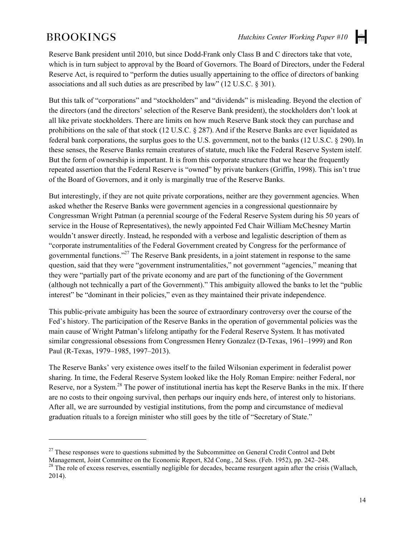H

Reserve Bank president until 2010, but since Dodd-Frank only Class B and C directors take that vote, which is in turn subject to approval by the Board of Governors. The Board of Directors, under the Federal Reserve Act, is required to "perform the duties usually appertaining to the office of directors of banking associations and all such duties as are prescribed by law" (12 U.S.C. § 301).

But this talk of "corporations" and "stockholders" and "dividends" is misleading. Beyond the election of the directors (and the directors' selection of the Reserve Bank president), the stockholders don't look at all like private stockholders. There are limits on how much Reserve Bank stock they can purchase and prohibitions on the sale of that stock (12 U.S.C. § 287). And if the Reserve Banks are ever liquidated as federal bank corporations, the surplus goes to the U.S. government, not to the banks (12 U.S.C. § 290).In these senses, the Reserve Banks remain creatures of statute, much like the Federal Reserve System istelf. But the form of ownership is important. It is from this corporate structure that we hear the frequently repeated assertion that the Federal Reserve is "owned" by private bankers (Griffin, 1998). This isn't true of the Board of Governors, and it only is marginally true of the Reserve Banks.

But interestingly, if they are not quite private corporations, neither are they government agencies. When asked whether the Reserve Banks were government agencies in a congressional questionnaire by Congressman Wright Patman (a perennial scourge of the Federal Reserve System during his 50 years of service in the House of Representatives), the newly appointed Fed Chair William McChesney Martin wouldn't answer directly. Instead, he responded with a verbose and legalistic description of them as "corporate instrumentalities of the Federal Government created by Congress for the performance of governmental functions."27 The Reserve Bank presidents, in a joint statement in response to the same question, said that they were "government instrumentalities," not government "agencies," meaning that they were "partially part of the private economy and are part of the functioning of the Government (although not technically a part of the Government)." This ambiguity allowed the banks to let the "public interest" be "dominant in their policies," even as they maintained their private independence.

This public-private ambiguity has been the source of extraordinary controversy over the course of the Fed's history. The participation of the Reserve Banks in the operation of governmental policies was the main cause of Wright Patman's lifelong antipathy for the Federal Reserve System. It has motivated similar congressional obsessions from Congressmen Henry Gonzalez (D-Texas, 1961–1999) and Ron Paul (R-Texas, 1979–1985, 1997–2013).

The Reserve Banks' very existence owes itself to the failed Wilsonian experiment in federalist power sharing. In time, the Federal Reserve System looked like the Holy Roman Empire: neither Federal, nor Reserve, nor a System.<sup>28</sup> The power of institutional inertia has kept the Reserve Banks in the mix. If there are no costs to their ongoing survival, then perhaps our inquiry ends here, of interest only to historians. After all, we are surrounded by vestigial institutions, from the pomp and circumstance of medieval graduation rituals to a foreign minister who still goes by the title of "Secretary of State."

 $\ddot{\phantom{a}}$ 

<sup>&</sup>lt;sup>27</sup> These responses were to questions submitted by the Subcommittee on General Credit Control and Debt Management, Joint Committee on the Economic Report, 82d Cong., 2d Sess. (Feb. 1952), pp. 242–248.<br><sup>28</sup> The role of excess reserves, essentially negligible for decades, became resurgent again after the crisis (Wallach,

<sup>2014).</sup>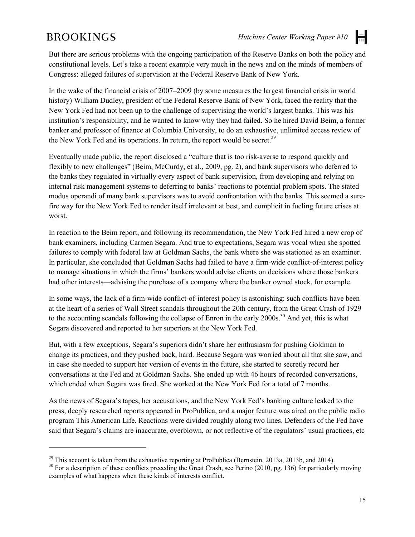$\overline{a}$ 

But there are serious problems with the ongoing participation of the Reserve Banks on both the policy and constitutional levels. Let's take a recent example very much in the news and on the minds of members of Congress: alleged failures of supervision at the Federal Reserve Bank of New York.

In the wake of the financial crisis of 2007–2009 (by some measures the largest financial crisis in world history) William Dudley, president of the Federal Reserve Bank of New York, faced the reality that the New York Fed had not been up to the challenge of supervising the world's largest banks. This was his institution's responsibility, and he wanted to know why they had failed. So he hired David Beim, a former banker and professor of finance at Columbia University, to do an exhaustive, unlimited access review of the New York Fed and its operations. In return, the report would be secret.<sup>29</sup>

Eventually made public, the report disclosed a "culture that is too risk-averse to respond quickly and flexibly to new challenges" (Beim, McCurdy, et al., 2009, pg. 2), and bank supervisors who deferred to the banks they regulated in virtually every aspect of bank supervision, from developing and relying on internal risk management systems to deferring to banks' reactions to potential problem spots. The stated modus operandi of many bank supervisors was to avoid confrontation with the banks. This seemed a surefire way for the New York Fed to render itself irrelevant at best, and complicit in fueling future crises at worst.

In reaction to the Beim report, and following its recommendation, the New York Fed hired a new crop of bank examiners, including Carmen Segara. And true to expectations, Segara was vocal when she spotted failures to comply with federal law at Goldman Sachs, the bank where she was stationed as an examiner. In particular, she concluded that Goldman Sachs had failed to have a firm-wide conflict-of-interest policy to manage situations in which the firms' bankers would advise clients on decisions where those bankers had other interests—advising the purchase of a company where the banker owned stock, for example.

In some ways, the lack of a firm-wide conflict-of-interest policy is astonishing: such conflicts have been at the heart of a series of Wall Street scandals throughout the 20th century, from the Great Crash of 1929 to the accounting scandals following the collapse of Enron in the early  $2000s$ <sup>30</sup> And yet, this is what Segara discovered and reported to her superiors at the New York Fed.

But, with a few exceptions, Segara's superiors didn't share her enthusiasm for pushing Goldman to change its practices, and they pushed back, hard. Because Segara was worried about all that she saw, and in case she needed to support her version of events in the future, she started to secretly record her conversations at the Fed and at Goldman Sachs. She ended up with 46 hours of recorded conversations, which ended when Segara was fired. She worked at the New York Fed for a total of 7 months.

As the news of Segara's tapes, her accusations, and the New York Fed's banking culture leaked to the press, deeply researched reports appeared in ProPublica, and a major feature was aired on the public radio program This American Life. Reactions were divided roughly along two lines. Defenders of the Fed have said that Segara's claims are inaccurate, overblown, or not reflective of the regulators' usual practices, etc

<sup>&</sup>lt;sup>29</sup> This account is taken from the exhaustive reporting at ProPublica (Bernstein, 2013a, 2013b, and 2014).<br><sup>30</sup> For a description of these conflicts preceding the Great Crash, see Perino (2010, pg. 136) for particularly examples of what happens when these kinds of interests conflict.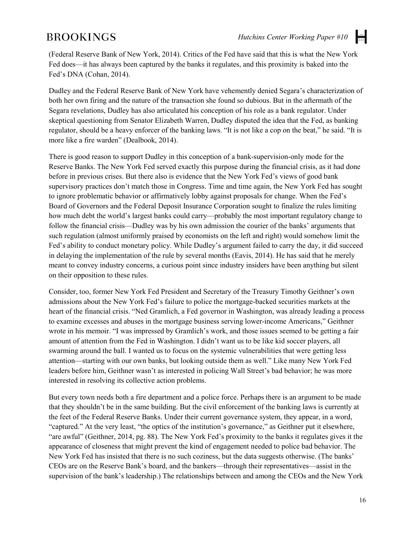H

(Federal Reserve Bank of New York, 2014). Critics of the Fed have said that this is what the New York Fed does—it has always been captured by the banks it regulates, and this proximity is baked into the Fed's DNA (Cohan, 2014).

Dudley and the Federal Reserve Bank of New York have vehemently denied Segara's characterization of both her own firing and the nature of the transaction she found so dubious. But in the aftermath of the Segara revelations, Dudley has also articulated his conception of his role as a bank regulator. Under skeptical questioning from Senator Elizabeth Warren, Dudley disputed the idea that the Fed, as banking regulator, should be a heavy enforcer of the banking laws. "It is not like a cop on the beat," he said. "It is more like a fire warden" (Dealbook, 2014).

There is good reason to support Dudley in this conception of a bank-supervision-only mode for the Reserve Banks. The New York Fed served exactly this purpose during the financial crisis, as it had done before in previous crises. But there also is evidence that the New York Fed's views of good bank supervisory practices don't match those in Congress. Time and time again, the New York Fed has sought to ignore problematic behavior or affirmatively lobby against proposals for change. When the Fed's Board of Governors and the Federal Deposit Insurance Corporation sought to finalize the rules limiting how much debt the world's largest banks could carry—probably the most important regulatory change to follow the financial crisis—Dudley was by his own admission the courier of the banks' arguments that such regulation (almost uniformly praised by economists on the left and right) would somehow limit the Fed's ability to conduct monetary policy. While Dudley's argument failed to carry the day, it did succeed in delaying the implementation of the rule by several months (Eavis, 2014). He has said that he merely meant to convey industry concerns, a curious point since industry insiders have been anything but silent on their opposition to these rules.

Consider, too, former New York Fed President and Secretary of the Treasury Timothy Geithner's own admissions about the New York Fed's failure to police the mortgage-backed securities markets at the heart of the financial crisis. "Ned Gramlich, a Fed governor in Washington, was already leading a process to examine excesses and abuses in the mortgage business serving lower-income Americans," Geithner wrote in his memoir. "I was impressed by Gramlich's work, and those issues seemed to be getting a fair amount of attention from the Fed in Washington. I didn't want us to be like kid soccer players, all swarming around the ball. I wanted us to focus on the systemic vulnerabilities that were getting less attention—starting with our own banks, but looking outside them as well." Like many New York Fed leaders before him, Geithner wasn't as interested in policing Wall Street's bad behavior; he was more interested in resolving its collective action problems.

But every town needs both a fire department and a police force. Perhaps there is an argument to be made that they shouldn't be in the same building. But the civil enforcement of the banking laws is currently at the feet of the Federal Reserve Banks. Under their current governance system, they appear, in a word, "captured." At the very least, "the optics of the institution's governance," as Geithner put it elsewhere, "are awful" (Geithner, 2014, pg. 88). The New York Fed's proximity to the banks it regulates gives it the appearance of closeness that might prevent the kind of engagement needed to police bad behavior. The New York Fed has insisted that there is no such coziness, but the data suggests otherwise. (The banks' CEOs are on the Reserve Bank's board, and the bankers—through their representatives—assist in the supervision of the bank's leadership.) The relationships between and among the CEOs and the New York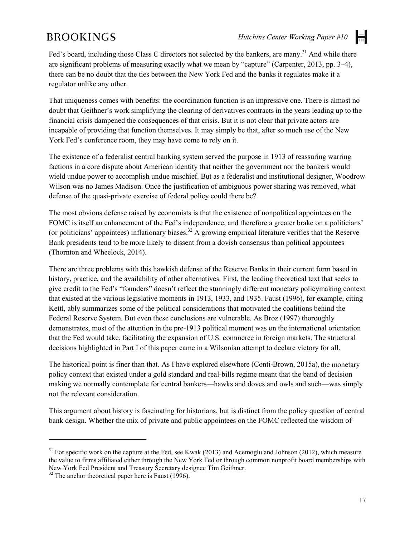H

Fed's board, including those Class C directors not selected by the bankers, are many.<sup>31</sup> And while there are significant problems of measuring exactly what we mean by "capture" (Carpenter, 2013, pp. 3–4), there can be no doubt that the ties between the New York Fed and the banks it regulates make it a regulator unlike any other.

That uniqueness comes with benefits: the coordination function is an impressive one. There is almost no doubt that Geithner's work simplifying the clearing of derivatives contracts in the years leading up to the financial crisis dampened the consequences of that crisis. But it is not clear that private actors are incapable of providing that function themselves. It may simply be that, after so much use of the New York Fed's conference room, they may have come to rely on it.

The existence of a federalist central banking system served the purpose in 1913 of reassuring warring factions in a core dispute about American identity that neither the government nor the bankers would wield undue power to accomplish undue mischief. But as a federalist and institutional designer, Woodrow Wilson was no James Madison. Once the justification of ambiguous power sharing was removed, what defense of the quasi-private exercise of federal policy could there be?

The most obvious defense raised by economists is that the existence of nonpolitical appointees on the FOMC is itself an enhancement of the Fed's independence, and therefore a greater brake on a politicians' (or politicians' appointees) inflationary biases.<sup>32</sup> A growing empirical literature verifies that the Reserve Bank presidents tend to be more likely to dissent from a dovish consensus than political appointees (Thornton and Wheelock, 2014).

There are three problems with this hawkish defense of the Reserve Banks in their current form based in history, practice, and the availability of other alternatives. First, the leading theoretical text that seeks to give credit to the Fed's "founders" doesn't reflect the stunningly different monetary policymaking context that existed at the various legislative moments in 1913, 1933, and 1935. Faust (1996), for example, citing Kettl, ably summarizes some of the political considerations that motivated the coalitions behind the Federal Reserve System. But even these conclusions are vulnerable. As Broz (1997) thoroughly demonstrates, most of the attention in the pre-1913 political moment was on the international orientation that the Fed would take, facilitating the expansion of U.S. commerce in foreign markets. The structural decisions highlighted in Part I of this paper came in a Wilsonian attempt to declare victory for all.

The historical point is finer than that. As I have explored elsewhere (Conti-Brown, 2015a), the monetary policy context that existed under a gold standard and real-bills regime meant that the band of decision making we normally contemplate for central bankers—hawks and doves and owls and such—was simply not the relevant consideration.

This argument about history is fascinating for historians, but is distinct from the policy question of central bank design. Whether the mix of private and public appointees on the FOMC reflected the wisdom of

 $\ddot{\phantom{a}}$ 

 $31$  For specific work on the capture at the Fed, see Kwak (2013) and Acemoglu and Johnson (2012), which measure the value to firms affiliated either through the New York Fed or through common nonprofit board memberships with New York Fed President and Treasury Secretary designee Tim Geithner.<br><sup>32</sup> The anchor theoretical paper here is Faust (1996).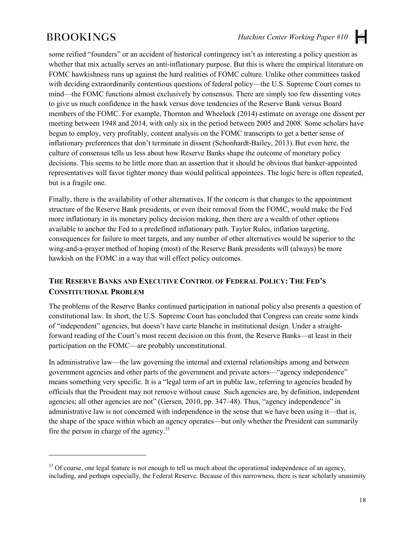$\overline{a}$ 

 $\left| \frac{1}{1+1} \right|$ 

some reified "founders" or an accident of historical contingency isn't as interesting a policy question as whether that mix actually serves an anti-inflationary purpose. But this is where the empirical literature on FOMC hawkishness runs up against the hard realities of FOMC culture. Unlike other committees tasked with deciding extraordinarily contentious questions of federal policy—the U.S. Supreme Court comes to mind—the FOMC functions almost exclusively by consensus. There are simply too few dissenting votes to give us much confidence in the hawk versus dove tendencies of the Reserve Bank versus Board members of the FOMC. For example, Thornton and Wheelock (2014) estimate on average one dissent per meeting between 1948 and 2014, with only six in the period between 2005 and 2008. Some scholars have begun to employ, very profitably, content analysis on the FOMC transcripts to get a better sense of inflationary preferences that don't terminate in dissent (Schonhardt-Bailey, 2013).But even here, the culture of consensus tells us less about how Reserve Banks shape the outcome of monetary policy decisions. This seems to be little more than an assertion that it should be obvious that banker-appointed representatives will favor tighter money than would political appointees. The logic here is often repeated, but is a fragile one.

Finally, there is the availability of other alternatives. If the concern is that changes to the appointment structure of the Reserve Bank presidents, or even their removal from the FOMC, would make the Fed more inflationary in its monetary policy decision making, then there are a wealth of other options available to anchor the Fed to a predefined inflationary path. Taylor Rules, inflation targeting, consequences for failure to meet targets, and any number of other alternatives would be superior to the wing-and-a-prayer method of hoping (most) of the Reserve Bank presidents will (always) be more hawkish on the FOMC in a way that will effect policy outcomes.

#### **THE RESERVE BANKS AND EXECUTIVE CONTROL OF FEDERAL POLICY: THE FED'S CONSTITUTIONAL PROBLEM**

The problems of the Reserve Banks continued participation in national policy also presents a question of constitutional law. In short, the U.S. Supreme Court has concluded that Congress can create some kinds of "independent" agencies, but doesn't have carte blanche in institutional design. Under a straightforward reading of the Court's most recent decision on this front, the Reserve Banks—at least in their participation on the FOMC—are probably unconstitutional.

In administrative law—the law governing the internal and external relationships among and between government agencies and other parts of the government and private actors—"agency independence" means something very specific. It is a "legal term of art in public law, referring to agencies headed by officials that the President may not remove without cause. Such agencies are, by definition, independent agencies; all other agencies are not" (Gersen, 2010, pp. 347–48). Thus, "agency independence" in administrative law is not concerned with independence in the sense that we have been using it—that is, the shape of the space within which an agency operates—but only whether the President can summarily fire the person in charge of the agency. $33$ 

<sup>&</sup>lt;sup>33</sup> Of course, one legal feature is not enough to tell us much about the operational independence of an agency, including, and perhaps especially, the Federal Reserve. Because of this narrowness, there is near scholarly unanimity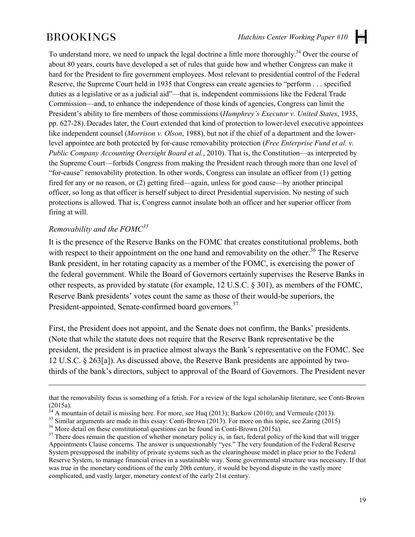H

To understand more, we need to unpack the legal doctrine a little more thoroughly.<sup>34</sup> Over the course of about 80 years, courts have developed a set of rules that guide how and whether Congress can make it hard for the President to fire government employees. Most relevant to presidential control of the Federal Reserve, the Supreme Court held in 1935 that Congress can create agencies to "perform . . . specified duties as a legislative or as a judicial aid"—that is, independent commissions like the Federal Trade Commission—and, to enhance the independence of those kinds of agencies, Congress can limit the President's ability to fire members of those commissions (*Humphrey's Executor v. United States*, 1935, pp. 627-28). Decades later, the Court extended that kind of protection to lower-level executive appointees like independent counsel (*Morrison v. Olson*, 1988), but not if the chief of a department and the lowerlevel appointee are both protected by for-cause removability protection (*Free Enterprise Fund et al. v. Public Company Accounting Oversight Board et al.*, 2010). That is, the Constitution—as interpreted by the Supreme Court—forbids Congress from making the President reach through more than one level of "for-cause" removability protection. In other words, Congress can insulate an officer from (1) getting fired for any or no reason, or (2) getting fired—again, unless for good cause—by another principal officer, so long as that officer is herself subject to direct Presidential supervision. No nesting of such protections is allowed. That is, Congress cannot insulate both an officer and her superior officer from firing at will.

#### *Removability and the FOMC<sup>35</sup>*

 $\overline{a}$ 

It is the presence of the Reserve Banks on the FOMC that creates constitutional problems, both with respect to their appointment on the one hand and removability on the other.<sup>36</sup> The Reserve Bank president, in her rotating capacity as a member of the FOMC, is exercising the power of the federal government. While the Board of Governors certainly supervises the Reserve Banks in other respects, as provided by statute (for example, 12 U.S.C. § 301), as members of the FOMC, Reserve Bank presidents' votes count the same as those of their would-be superiors, the President-appointed, Senate-confirmed board governors.<sup>37</sup>

First, the President does not appoint, and the Senate does not confirm, the Banks' presidents. (Note that while the statute does not require that the Reserve Bank representative be the president, the president is in practice almost always the Bank's representative on the FOMC. See 12 U.S.C. § 263[a]). As discussed above, the Reserve Bank presidents are appointed by twothirds of the bank's directors, subject to approval of the Board of Governors. The President never

that the removability focus is something of a fetish. For a review of the legal scholarship literature, see Conti-Brown (2015a).<br>
<sup>34</sup> A mountain of data is missime here. For a street of the street of the street of the st

<sup>&</sup>lt;sup>34</sup> A mountain of detail is missing here. For more, see Huq (2013); Barkow (2010); and Vermeule (2013).<br><sup>35</sup> Similar arguments are made in this essay: Conti-Brown (2013). For more on this topic, see Zaring (2015)<br><sup>36</sup> Mo

Appointments Clause concerns. The answer is unquestionably "yes." The very foundation of the Federal Reserve System presupposed the inability of private systems such as the clearinghouse model in place prior to the Federal Reserve System, to manage financial crises in a sustainable way. Some governmental structure was necessary. If that was true in the monetary conditions of the early 20th century, it would be beyond dispute in the vastly more complicated, and vastly larger, monetary context of the early 21st century.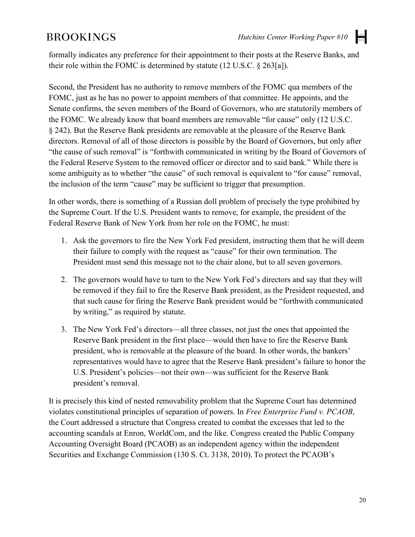H

formally indicates any preference for their appointment to their posts at the Reserve Banks, and their role within the FOMC is determined by statute (12 U.S.C. § 263[a]).

Second, the President has no authority to remove members of the FOMC qua members of the FOMC, just as he has no power to appoint members of that committee. He appoints, and the Senate confirms, the seven members of the Board of Governors, who are statutorily members of the FOMC. We already know that board members are removable "for cause" only (12 U.S.C. § 242). But the Reserve Bank presidents are removable at the pleasure of the Reserve Bank directors. Removal of all of those directors is possible by the Board of Governors, but only after "the cause of such removal" is "forthwith communicated in writing by the Board of Governors of the Federal Reserve System to the removed officer or director and to said bank." While there is some ambiguity as to whether "the cause" of such removal is equivalent to "for cause" removal, the inclusion of the term "cause" may be sufficient to trigger that presumption.

In other words, there is something of a Russian doll problem of precisely the type prohibited by the Supreme Court. If the U.S. President wants to remove, for example, the president of the Federal Reserve Bank of New York from her role on the FOMC, he must:

- 1. Ask the governors to fire the New York Fed president, instructing them that he will deem their failure to comply with the request as "cause" for their own termination. The President must send this message not to the chair alone, but to all seven governors.
- 2. The governors would have to turn to the New York Fed's directors and say that they will be removed if they fail to fire the Reserve Bank president, as the President requested, and that such cause for firing the Reserve Bank president would be "forthwith communicated by writing," as required by statute.
- 3. The New York Fed's directors—all three classes, not just the ones that appointed the Reserve Bank president in the first place—would then have to fire the Reserve Bank president, who is removable at the pleasure of the board. In other words, the bankers' representatives would have to agree that the Reserve Bank president's failure to honor the U.S. President's policies—not their own—was sufficient for the Reserve Bank president's removal.

It is precisely this kind of nested removability problem that the Supreme Court has determined violates constitutional principles of separation of powers. In *Free Enterprise Fund v. PCAOB*, the Court addressed a structure that Congress created to combat the excesses that led to the accounting scandals at Enron, WorldCom, and the like. Congress created the Public Company Accounting Oversight Board (PCAOB) as an independent agency within the independent Securities and Exchange Commission (130 S. Ct. 3138, 2010). To protect the PCAOB's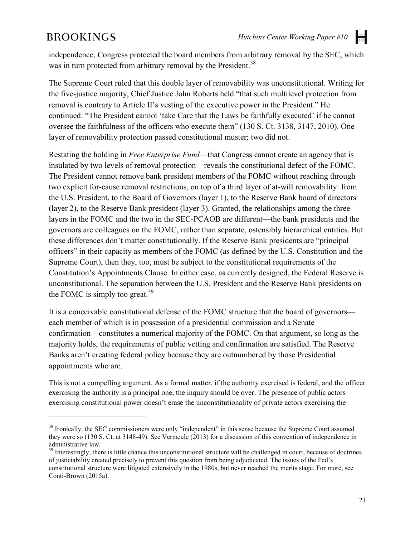$\overline{a}$ 

independence, Congress protected the board members from arbitrary removal by the SEC, which was in turn protected from arbitrary removal by the President.<sup>38</sup>

The Supreme Court ruled that this double layer of removability was unconstitutional. Writing for the five-justice majority, Chief Justice John Roberts held "that such multilevel protection from removal is contrary to Article II's vesting of the executive power in the President." He continued: "The President cannot 'take Care that the Laws be faithfully executed' if he cannot oversee the faithfulness of the officers who execute them" (130 S. Ct. 3138, 3147, 2010). One layer of removability protection passed constitutional muster; two did not.

Restating the holding in *Free Enterprise Fund*—that Congress cannot create an agency that is insulated by two levels of removal protection—reveals the constitutional defect of the FOMC. The President cannot remove bank president members of the FOMC without reaching through two explicit for-cause removal restrictions, on top of a third layer of at-will removability: from the U.S. President, to the Board of Governors (layer 1), to the Reserve Bank board of directors (layer 2), to the Reserve Bank president (layer 3). Granted, the relationships among the three layers in the FOMC and the two in the SEC-PCAOB are different—the bank presidents and the governors are colleagues on the FOMC, rather than separate, ostensibly hierarchical entities. But these differences don't matter constitutionally. If the Reserve Bank presidents are "principal officers" in their capacity as members of the FOMC (as defined by the U.S. Constitution and the Supreme Court), then they, too, must be subject to the constitutional requirements of the Constitution's Appointments Clause. In either case, as currently designed, the Federal Reserve is unconstitutional. The separation between the U.S. President and the Reserve Bank presidents on the FOMC is simply too great.<sup>39</sup>

It is a conceivable constitutional defense of the FOMC structure that the board of governors each member of which is in possession of a presidential commission and a Senate confirmation—constitutes a numerical majority of the FOMC. On that argument, so long as the majority holds, the requirements of public vetting and confirmation are satisfied. The Reserve Banks aren't creating federal policy because they are outnumbered by those Presidential appointments who are.

This is not a compelling argument. As a formal matter, if the authority exercised is federal, and the officer exercising the authority is a principal one, the inquiry should be over. The presence of public actors exercising constitutional power doesn't erase the unconstitutionality of private actors exercising the

<sup>&</sup>lt;sup>38</sup> Ironically, the SEC commissioners were only "independent" in this sense because the Supreme Court assumed they were so (130 S. Ct. at 3148-49). See Vermeule (2013) for a discussion of this convention of independence in administrative law.

 $39$  Interestingly, there is little chance this unconstitutional structure will be challenged in court, because of doctrines of justiciability created precisely to prevent this question from being adjudicated. The issues of the Fed's constitutional structure were litigated extensively in the 1980s, but never reached the merits stage. For more, see Conti-Brown (2015a).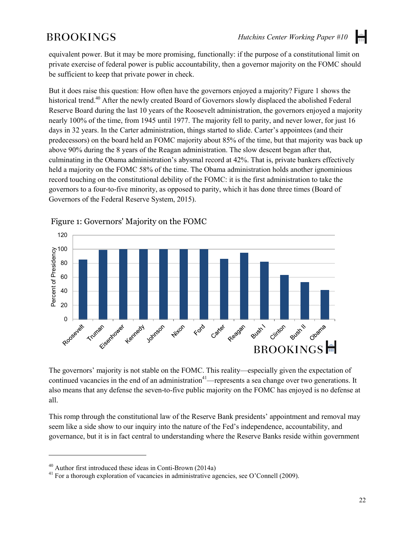equivalent power. But it may be more promising, functionally: if the purpose of a constitutional limit on private exercise of federal power is public accountability, then a governor majority on the FOMC should be sufficient to keep that private power in check.

But it does raise this question: How often have the governors enjoyed a majority? Figure 1 shows the historical trend.<sup>40</sup> After the newly created Board of Governors slowly displaced the abolished Federal Reserve Board during the last 10 years of the Roosevelt administration, the governors enjoyed a majority nearly 100% of the time, from 1945 until 1977. The majority fell to parity, and never lower, for just 16 days in 32 years. In the Carter administration, things started to slide. Carter's appointees (and their predecessors) on the board held an FOMC majority about 85% of the time, but that majority was back up above 90% during the 8 years of the Reagan administration. The slow descent began after that, culminating in the Obama administration's abysmal record at 42%. That is, private bankers effectively held a majority on the FOMC 58% of the time. The Obama administration holds another ignominious record touching on the constitutional debility of the FOMC: it is the first administration to take the governors to a four-to-five minority, as opposed to parity, which it has done three times (Board of Governors of the Federal Reserve System, 2015).



Figure 1: Governors' Majority on the FOMC

The governors' majority is not stable on the FOMC. This reality—especially given the expectation of continued vacancies in the end of an administration<sup>41</sup>—represents a sea change over two generations. It also means that any defense the seven-to-five public majority on the FOMC has enjoyed is no defense at all.

This romp through the constitutional law of the Reserve Bank presidents' appointment and removal may seem like a side show to our inquiry into the nature of the Fed's independence, accountability, and governance, but it is in fact central to understanding where the Reserve Banks reside within government

 $\overline{a}$ 

<sup>&</sup>lt;sup>40</sup> Author first introduced these ideas in Conti-Brown (2014a)<br><sup>41</sup> For a thorough exploration of vacancies in administrative agencies, see O'Connell (2009).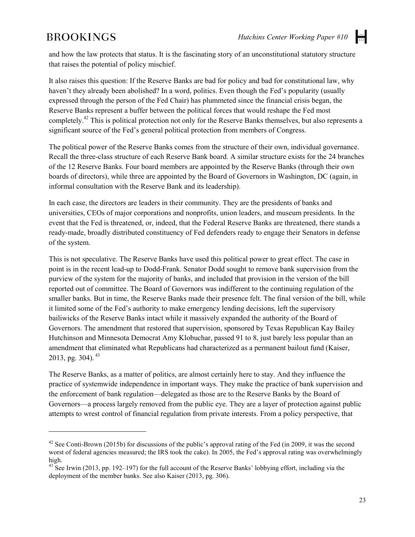$\overline{a}$ 

and how the law protects that status. It is the fascinating story of an unconstitutional statutory structure that raises the potential of policy mischief.

It also raises this question: If the Reserve Banks are bad for policy and bad for constitutional law, why haven't they already been abolished? In a word, politics. Even though the Fed's popularity (usually expressed through the person of the Fed Chair) has plummeted since the financial crisis began, the Reserve Banks represent a buffer between the political forces that would reshape the Fed most completely.42 This is political protection not only for the Reserve Banks themselves, but also represents a significant source of the Fed's general political protection from members of Congress.

The political power of the Reserve Banks comes from the structure of their own, individual governance. Recall the three-class structure of each Reserve Bank board. A similar structure exists for the 24 branches of the 12 Reserve Banks. Four board members are appointed by the Reserve Banks (through their own boards of directors), while three are appointed by the Board of Governors in Washington, DC (again, in informal consultation with the Reserve Bank and its leadership).

In each case, the directors are leaders in their community. They are the presidents of banks and universities, CEOs of major corporations and nonprofits, union leaders, and museum presidents. In the event that the Fed is threatened, or, indeed, that the Federal Reserve Banks are threatened, there stands a ready-made, broadly distributed constituency of Fed defenders ready to engage their Senators in defense of the system.

This is not speculative. The Reserve Banks have used this political power to great effect. The case in point is in the recent lead-up to Dodd-Frank. Senator Dodd sought to remove bank supervision from the purview of the system for the majority of banks, and included that provision in the version of the bill reported out of committee. The Board of Governors was indifferent to the continuing regulation of the smaller banks. But in time, the Reserve Banks made their presence felt. The final version of the bill, while it limited some of the Fed's authority to make emergency lending decisions, left the supervisory bailiwicks of the Reserve Banks intact while it massively expanded the authority of the Board of Governors. The amendment that restored that supervision, sponsored by Texas Republican Kay Bailey Hutchinson and Minnesota Democrat Amy Klobuchar, passed 91 to 8, just barely less popular than an amendment that eliminated what Republicans had characterized as a permanent bailout fund (Kaiser, 2013, pg. 304).  $43$ 

The Reserve Banks, as a matter of politics, are almost certainly here to stay. And they influence the practice of systemwide independence in important ways. They make the practice of bank supervision and the enforcement of bank regulation—delegated as those are to the Reserve Banks by the Board of Governors—a process largely removed from the public eye. They are a layer of protection against public attempts to wrest control of financial regulation from private interests. From a policy perspective, that

<sup>&</sup>lt;sup>42</sup> See Conti-Brown (2015b) for discussions of the public's approval rating of the Fed (in 2009, it was the second worst of federal agencies measured; the IRS took the cake). In 2005, the Fed's approval rating was overwhelmingly high.

<sup>&</sup>lt;sup>43</sup> See Irwin (2013, pp. 192–197) for the full account of the Reserve Banks' lobbying effort, including via the deployment of the member banks. See also Kaiser (2013, pg. 306).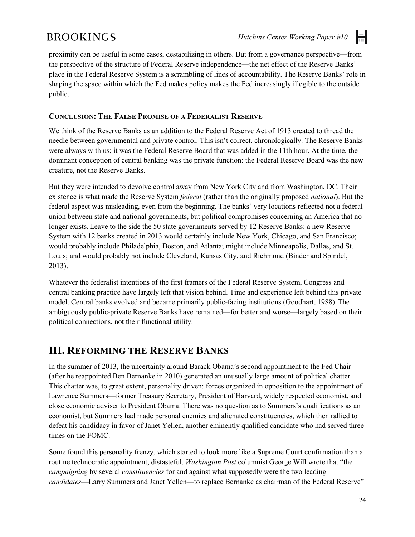H

proximity can be useful in some cases, destabilizing in others. But from a governance perspective—from the perspective of the structure of Federal Reserve independence—the net effect of the Reserve Banks' place in the Federal Reserve System is a scrambling of lines of accountability. The Reserve Banks' role in shaping the space within which the Fed makes policy makes the Fed increasingly illegible to the outside public.

#### **CONCLUSION: THE FALSE PROMISE OF A FEDERALIST RESERVE**

We think of the Reserve Banks as an addition to the Federal Reserve Act of 1913 created to thread the needle between governmental and private control. This isn't correct, chronologically. The Reserve Banks were always with us; it was the Federal Reserve Board that was added in the 11th hour. At the time, the dominant conception of central banking was the private function: the Federal Reserve Board was the new creature, not the Reserve Banks.

But they were intended to devolve control away from New York City and from Washington, DC. Their existence is what made the Reserve System *federal* (rather than the originally proposed *national*). But the federal aspect was misleading, even from the beginning. The banks' very locations reflected not a federal union between state and national governments, but political compromises concerning an America that no longer exists. Leave to the side the 50 state governments served by 12 Reserve Banks: a new Reserve System with 12 banks created in 2013 would certainly include New York, Chicago, and San Francisco; would probably include Philadelphia, Boston, and Atlanta; might include Minneapolis, Dallas, and St. Louis; and would probably not include Cleveland, Kansas City, and Richmond (Binder and Spindel, 2013).

Whatever the federalist intentions of the first framers of the Federal Reserve System, Congress and central banking practice have largely left that vision behind. Time and experience left behind this private model. Central banks evolved and became primarily public-facing institutions (Goodhart, 1988).The ambiguously public-private Reserve Banks have remained—for better and worse—largely based on their political connections, not their functional utility.

### **III. REFORMING THE RESERVE BANKS**

In the summer of 2013, the uncertainty around Barack Obama's second appointment to the Fed Chair (after he reappointed Ben Bernanke in 2010) generated an unusually large amount of political chatter. This chatter was, to great extent, personality driven: forces organized in opposition to the appointment of Lawrence Summers—former Treasury Secretary, President of Harvard, widely respected economist, and close economic adviser to President Obama. There was no question as to Summers's qualifications as an economist, but Summers had made personal enemies and alienated constituencies, which then rallied to defeat his candidacy in favor of Janet Yellen, another eminently qualified candidate who had served three times on the FOMC.

Some found this personality frenzy, which started to look more like a Supreme Court confirmation than a routine technocratic appointment, distasteful. *Washington Post* columnist George Will wrote that "the *campaigning* by several *constituencies* for and against what supposedly were the two leading *candidates*—Larry Summers and Janet Yellen—to replace Bernanke as chairman of the Federal Reserve"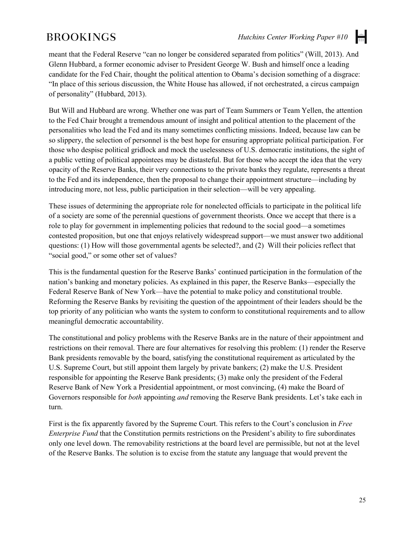H

meant that the Federal Reserve "can no longer be considered separated from politics" (Will, 2013). And Glenn Hubbard, a former economic adviser to President George W. Bush and himself once a leading candidate for the Fed Chair, thought the political attention to Obama's decision something of a disgrace: "In place of this serious discussion, the White House has allowed, if not orchestrated, a circus campaign of personality" (Hubbard, 2013).

But Will and Hubbard are wrong. Whether one was part of Team Summers or Team Yellen, the attention to the Fed Chair brought a tremendous amount of insight and political attention to the placement of the personalities who lead the Fed and its many sometimes conflicting missions. Indeed, because law can be so slippery, the selection of personnel is the best hope for ensuring appropriate political participation. For those who despise political gridlock and mock the uselessness of U.S. democratic institutions, the sight of a public vetting of political appointees may be distasteful. But for those who accept the idea that the very opacity of the Reserve Banks, their very connections to the private banks they regulate, represents a threat to the Fed and its independence, then the proposal to change their appointment structure—including by introducing more, not less, public participation in their selection—will be very appealing.

These issues of determining the appropriate role for nonelected officials to participate in the political life of a society are some of the perennial questions of government theorists. Once we accept that there is a role to play for government in implementing policies that redound to the social good—a sometimes contested proposition, but one that enjoys relatively widespread support—we must answer two additional questions: (1) How will those governmental agents be selected?, and (2) Will their policies reflect that "social good," or some other set of values?

This is the fundamental question for the Reserve Banks' continued participation in the formulation of the nation's banking and monetary policies. As explained in this paper, the Reserve Banks—especially the Federal Reserve Bank of New York—have the potential to make policy and constitutional trouble. Reforming the Reserve Banks by revisiting the question of the appointment of their leaders should be the top priority of any politician who wants the system to conform to constitutional requirements and to allow meaningful democratic accountability.

The constitutional and policy problems with the Reserve Banks are in the nature of their appointment and restrictions on their removal. There are four alternatives for resolving this problem: (1) render the Reserve Bank presidents removable by the board, satisfying the constitutional requirement as articulated by the U.S. Supreme Court, but still appoint them largely by private bankers; (2) make the U.S. President responsible for appointing the Reserve Bank presidents; (3) make only the president of the Federal Reserve Bank of New York a Presidential appointment, or most convincing, (4) make the Board of Governors responsible for *both* appointing *and* removing the Reserve Bank presidents. Let's take each in turn.

First is the fix apparently favored by the Supreme Court. This refers to the Court's conclusion in *Free Enterprise Fund* that the Constitution permits restrictions on the President's ability to fire subordinates only one level down. The removability restrictions at the board level are permissible, but not at the level of the Reserve Banks. The solution is to excise from the statute any language that would prevent the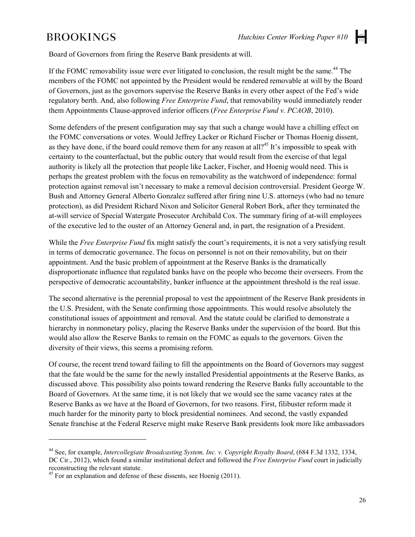Board of Governors from firing the Reserve Bank presidents at will.

If the FOMC removability issue were ever litigated to conclusion, the result might be the same.<sup>44</sup> The members of the FOMC not appointed by the President would be rendered removable at will by the Board of Governors, just as the governors supervise the Reserve Banks in every other aspect of the Fed's wide regulatory berth. And, also following *Free Enterprise Fund*, that removability would immediately render them Appointments Clause-approved inferior officers (*Free Enterprise Fund v. PCAOB*, 2010).

Some defenders of the present configuration may say that such a change would have a chilling effect on the FOMC conversations or votes. Would Jeffrey Lacker or Richard Fischer or Thomas Hoenig dissent, as they have done, if the board could remove them for any reason at all?<sup>45</sup> It's impossible to speak with certainty to the counterfactual, but the public outcry that would result from the exercise of that legal authority is likely all the protection that people like Lacker, Fischer, and Hoenig would need. This is perhaps the greatest problem with the focus on removability as the watchword of independence: formal protection against removal isn't necessary to make a removal decision controversial. President George W. Bush and Attorney General Alberto Gonzalez suffered after firing nine U.S. attorneys (who had no tenure protection), as did President Richard Nixon and Solicitor General Robert Bork, after they terminated the at-will service of Special Watergate Prosecutor Archibald Cox. The summary firing of at-will employees of the executive led to the ouster of an Attorney General and, in part, the resignation of a President.

While the *Free Enterprise Fund* fix might satisfy the court's requirements, it is not a very satisfying result in terms of democratic governance. The focus on personnel is not on their removability, but on their appointment. And the basic problem of appointment at the Reserve Banks is the dramatically disproportionate influence that regulated banks have on the people who become their overseers. From the perspective of democratic accountability, banker influence at the appointment threshold is the real issue.

The second alternative is the perennial proposal to vest the appointment of the Reserve Bank presidents in the U.S. President, with the Senate confirming those appointments. This would resolve absolutely the constitutional issues of appointment and removal. And the statute could be clarified to demonstrate a hierarchy in nonmonetary policy, placing the Reserve Banks under the supervision of the board. But this would also allow the Reserve Banks to remain on the FOMC as equals to the governors. Given the diversity of their views, this seems a promising reform.

Of course, the recent trend toward failing to fill the appointments on the Board of Governors may suggest that the fate would be the same for the newly installed Presidential appointments at the Reserve Banks, as discussed above. This possibility also points toward rendering the Reserve Banks fully accountable to the Board of Governors. At the same time, it is not likely that we would see the same vacancy rates at the Reserve Banks as we have at the Board of Governors, for two reasons. First, filibuster reform made it much harder for the minority party to block presidential nominees. And second, the vastly expanded Senate franchise at the Federal Reserve might make Reserve Bank presidents look more like ambassadors

 $\ddot{\phantom{a}}$ 

<sup>44</sup> See, for example, *Intercollegiate Broadcasting System, Inc. v. Copyright Royalty Board*, (684 F.3d 1332, 1334, DC Cir., 2012), which found a similar institutional defect and followed the *Free Enterprise Fund* court in judicially reconstructing the relevant statute.

 $45$  For an explanation and defense of these dissents, see Hoenig (2011).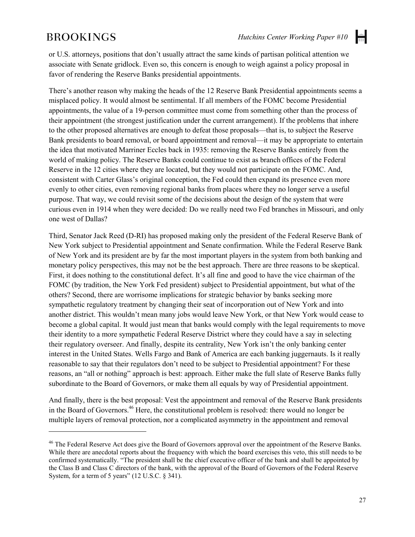$\overline{a}$ 

 $\left| \frac{1}{1+1} \right|$ 

or U.S. attorneys, positions that don't usually attract the same kinds of partisan political attention we associate with Senate gridlock. Even so, this concern is enough to weigh against a policy proposal in favor of rendering the Reserve Banks presidential appointments.

There's another reason why making the heads of the 12 Reserve Bank Presidential appointments seems a misplaced policy. It would almost be sentimental. If all members of the FOMC become Presidential appointments, the value of a 19-person committee must come from something other than the process of their appointment (the strongest justification under the current arrangement). If the problems that inhere to the other proposed alternatives are enough to defeat those proposals—that is, to subject the Reserve Bank presidents to board removal, or board appointment and removal—it may be appropriate to entertain the idea that motivated Marriner Eccles back in 1935: removing the Reserve Banks entirely from the world of making policy. The Reserve Banks could continue to exist as branch offices of the Federal Reserve in the 12 cities where they are located, but they would not participate on the FOMC. And, consistent with Carter Glass's original conception, the Fed could then expand its presence even more evenly to other cities, even removing regional banks from places where they no longer serve a useful purpose. That way, we could revisit some of the decisions about the design of the system that were curious even in 1914 when they were decided: Do we really need two Fed branches in Missouri, and only one west of Dallas?

Third, Senator Jack Reed (D-RI) has proposed making only the president of the Federal Reserve Bank of New York subject to Presidential appointment and Senate confirmation. While the Federal Reserve Bank of New York and its president are by far the most important players in the system from both banking and monetary policy perspectives, this may not be the best approach. There are three reasons to be skeptical. First, it does nothing to the constitutional defect. It's all fine and good to have the vice chairman of the FOMC (by tradition, the New York Fed president) subject to Presidential appointment, but what of the others? Second, there are worrisome implications for strategic behavior by banks seeking more sympathetic regulatory treatment by changing their seat of incorporation out of New York and into another district. This wouldn't mean many jobs would leave New York, or that New York would cease to become a global capital. It would just mean that banks would comply with the legal requirements to move their identity to a more sympathetic Federal Reserve District where they could have a say in selecting their regulatory overseer. And finally, despite its centrality, New York isn't the only banking center interest in the United States. Wells Fargo and Bank of America are each banking juggernauts. Is it really reasonable to say that their regulators don't need to be subject to Presidential appointment? For these reasons, an "all or nothing" approach is best: approach. Either make the full slate of Reserve Banks fully subordinate to the Board of Governors, or make them all equals by way of Presidential appointment.

And finally, there is the best proposal: Vest the appointment and removal of the Reserve Bank presidents in the Board of Governors.<sup>46</sup> Here, the constitutional problem is resolved: there would no longer be multiple layers of removal protection, nor a complicated asymmetry in the appointment and removal

<sup>&</sup>lt;sup>46</sup> The Federal Reserve Act does give the Board of Governors approval over the appointment of the Reserve Banks. While there are anecdotal reports about the frequency with which the board exercises this veto, this still needs to be confirmed systematically. "The president shall be the chief executive officer of the bank and shall be appointed by the Class B and Class C directors of the bank, with the approval of the Board of Governors of the Federal Reserve System, for a term of 5 years"  $(12 \text{ U.S.C.} \S 341)$ .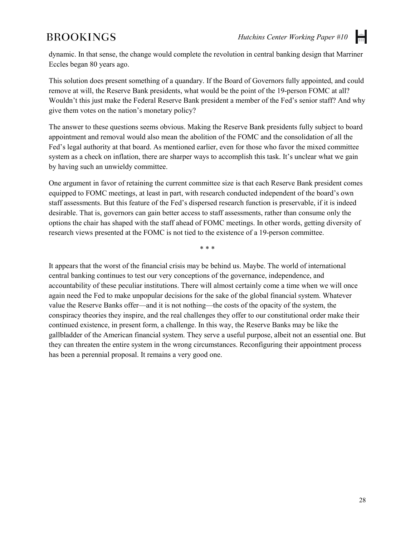dynamic. In that sense, the change would complete the revolution in central banking design that Marriner Eccles began 80 years ago.

This solution does present something of a quandary. If the Board of Governors fully appointed, and could remove at will, the Reserve Bank presidents, what would be the point of the 19-person FOMC at all? Wouldn't this just make the Federal Reserve Bank president a member of the Fed's senior staff? And why give them votes on the nation's monetary policy?

The answer to these questions seems obvious. Making the Reserve Bank presidents fully subject to board appointment and removal would also mean the abolition of the FOMC and the consolidation of all the Fed's legal authority at that board. As mentioned earlier, even for those who favor the mixed committee system as a check on inflation, there are sharper ways to accomplish this task. It's unclear what we gain by having such an unwieldy committee.

One argument in favor of retaining the current committee size is that each Reserve Bank president comes equipped to FOMC meetings, at least in part, with research conducted independent of the board's own staff assessments. But this feature of the Fed's dispersed research function is preservable, if it is indeed desirable. That is, governors can gain better access to staff assessments, rather than consume only the options the chair has shaped with the staff ahead of FOMC meetings. In other words, getting diversity of research views presented at the FOMC is not tied to the existence of a 19-person committee.

\* \* \*

It appears that the worst of the financial crisis may be behind us. Maybe. The world of international central banking continues to test our very conceptions of the governance, independence, and accountability of these peculiar institutions. There will almost certainly come a time when we will once again need the Fed to make unpopular decisions for the sake of the global financial system. Whatever value the Reserve Banks offer—and it is not nothing—the costs of the opacity of the system, the conspiracy theories they inspire, and the real challenges they offer to our constitutional order make their continued existence, in present form, a challenge. In this way, the Reserve Banks may be like the gallbladder of the American financial system. They serve a useful purpose, albeit not an essential one. But they can threaten the entire system in the wrong circumstances. Reconfiguring their appointment process has been a perennial proposal. It remains a very good one.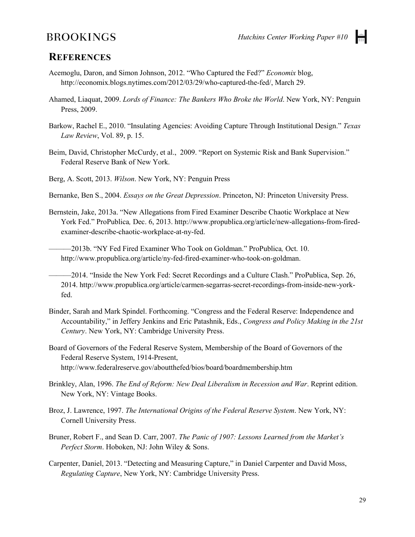### **REFERENCES**

- Acemoglu, Daron, and Simon Johnson, 2012. "Who Captured the Fed?" *Economix* blog, [http://economix.blogs.nytimes.com/2012/03/29/who-captured-the-fed/,](http://economix.blogs.nytimes.com/2012/03/29/who-captured-the-fed/) March 29.
- Ahamed, Liaquat, 2009. *Lords of Finance: The Bankers Who Broke the World*. New York, NY: Penguin Press, 2009.
- Barkow, Rachel E., 2010. "Insulating Agencies: Avoiding Capture Through Institutional Design." *Texas Law Review*, Vol. 89, p. 15.
- Beim, David, Christopher McCurdy, et al., 2009. "Report on Systemic Risk and Bank Supervision." Federal Reserve Bank of New York.

Berg, A. Scott, 2013. *Wilson*. New York, NY: Penguin Press

- Bernanke, Ben S., 2004. *Essays on the Great Depression*. Princeton, NJ: Princeton University Press.
- Bernstein, Jake, 2013a. "New Allegations from Fired Examiner Describe Chaotic Workplace at New York Fed." ProPublica*,* Dec. 6, 2013. http://www.propublica.org/article/new-allegations-from-firedexaminer-describe-chaotic-workplace-at-ny-fed.

———2013b. "NY Fed Fired Examiner Who Took on Goldman." ProPublica*,* Oct. 10. http://www.propublica.org/article/ny-fed-fired-examiner-who-took-on-goldman.

———2014. "Inside the New York Fed: Secret Recordings and a Culture Clash." ProPublica, Sep. 26, 2014. http://www.propublica.org/article/carmen-segarras-secret-recordings-from-inside-new-yorkfed.

Binder, Sarah and Mark Spindel. Forthcoming. "Congress and the Federal Reserve: Independence and Accountability," in Jeffery Jenkins and Eric Patashnik, Eds., *Congress and Policy Making in the 21st Century*. New York, NY: Cambridge University Press.

Board of Governors of the Federal Reserve System, Membership of the Board of Governors of the Federal Reserve System, 1914-Present, http://www.federalreserve.gov/aboutthefed/bios/board/boardmembership.htm

- Brinkley, Alan, 1996. *The End of Reform: New Deal Liberalism in Recession and War*. Reprint edition. New York, NY: Vintage Books.
- Broz, J. Lawrence, 1997. *The International Origins of the Federal Reserve System*. New York, NY: Cornell University Press.
- Bruner, Robert F., and Sean D. Carr, 2007. *The Panic of 1907: Lessons Learned from the Market's Perfect Storm*. Hoboken, NJ: John Wiley & Sons.
- Carpenter, Daniel, 2013. "Detecting and Measuring Capture," in Daniel Carpenter and David Moss, *Regulating Capture*, New York, NY: Cambridge University Press.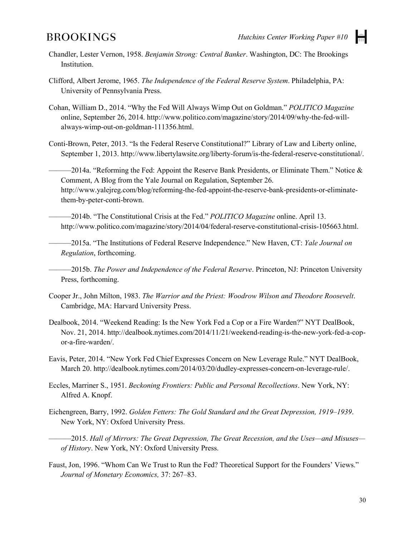

- Chandler, Lester Vernon, 1958. *Benjamin Strong: Central Banker*. Washington, DC: The Brookings Institution.
- Clifford, Albert Jerome, 1965. *The Independence of the Federal Reserve System*. Philadelphia, PA: University of Pennsylvania Press.
- Cohan, William D., 2014. "Why the Fed Will Always Wimp Out on Goldman." *POLITICO Magazine* online, September 26, 2014. http://www.politico.com/magazine/story/2014/09/why-the-fed-willalways-wimp-out-on-goldman-111356.html.
- Conti-Brown, Peter, 2013. "Is the Federal Reserve Constitutional?" Library of Law and Liberty online, September 1, 2013. http://www.libertylawsite.org/liberty-forum/is-the-federal-reserve-constitutional/.

 $-2014a$ . "Reforming the Fed: Appoint the Reserve Bank Presidents, or Eliminate Them." Notice  $\&$ Comment, A Blog from the Yale Journal on Regulation, September 26. http://www.yalejreg.com/blog/reforming-the-fed-appoint-the-reserve-bank-presidents-or-eliminatethem-by-peter-conti-brown.

———2014b. "The Constitutional Crisis at the Fed." *POLITICO Magazine* online. April 13. http://www.politico.com/magazine/story/2014/04/federal-reserve-constitutional-crisis-105663.html.

———2015a. "The Institutions of Federal Reserve Independence." New Haven, CT: *Yale Journal on Regulation*, forthcoming.

———2015b. *The Power and Independence of the Federal Reserve*. Princeton, NJ: Princeton University Press, forthcoming.

- Cooper Jr., John Milton, 1983. *The Warrior and the Priest: Woodrow Wilson and Theodore Roosevelt*. Cambridge, MA: Harvard University Press.
- Dealbook, 2014. "Weekend Reading: Is the New York Fed a Cop or a Fire Warden?" NYT DealBook, Nov. 21, 2014. http://dealbook.nytimes.com/2014/11/21/weekend-reading-is-the-new-york-fed-a-copor-a-fire-warden/.
- Eavis, Peter, 2014. "New York Fed Chief Expresses Concern on New Leverage Rule." NYT DealBook, March 20. http://dealbook.nytimes.com/2014/03/20/dudley-expresses-concern-on-leverage-rule/.
- Eccles, Marriner S., 1951. *Beckoning Frontiers: Public and Personal Recollections*. New York, NY: Alfred A. Knopf.
- Eichengreen, Barry, 1992. *Golden Fetters: The Gold Standard and the Great Depression, 1919–1939*. New York, NY: Oxford University Press.
- ———2015. *Hall of Mirrors: The Great Depression, The Great Recession, and the Uses—and Misuses of History*. New York, NY: Oxford University Press.
- Faust, Jon, 1996. "Whom Can We Trust to Run the Fed? Theoretical Support for the Founders' Views." *Journal of Monetary Economics,* 37: 267–83.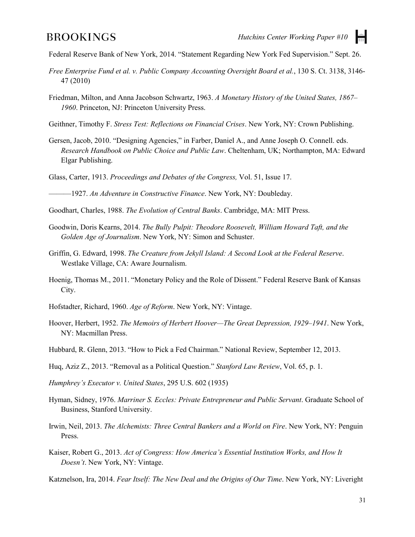Federal Reserve Bank of New York, 2014. "Statement Regarding New York Fed Supervision." Sept. 26.

- *Free Enterprise Fund et al. v. Public Company Accounting Oversight Board et al.*, 130 S. Ct. 3138, 3146- 47 (2010)
- Friedman, Milton, and Anna Jacobson Schwartz, 1963. *A Monetary History of the United States, 1867– 1960*. Princeton, NJ: Princeton University Press.
- Geithner, Timothy F. *Stress Test: Reflections on Financial Crises*. New York, NY: Crown Publishing.
- Gersen, Jacob, 2010. "Designing Agencies," in Farber, Daniel A., and Anne Joseph O. Connell. eds. *Research Handbook on Public Choice and Public Law*. Cheltenham, UK; Northampton, MA: Edward Elgar Publishing.
- Glass, Carter, 1913. *Proceedings and Debates of the Congress,* Vol. 51, Issue 17.

———1927. *An Adventure in Constructive Finance*. New York, NY: Doubleday.

- Goodhart, Charles, 1988. *The Evolution of Central Banks*. Cambridge, MA: MIT Press.
- Goodwin, Doris Kearns, 2014. *The Bully Pulpit: Theodore Roosevelt, William Howard Taft, and the Golden Age of Journalism*. New York, NY: Simon and Schuster.
- Griffin, G. Edward, 1998. *The Creature from Jekyll Island: A Second Look at the Federal Reserve*. Westlake Village, CA: Aware Journalism.
- Hoenig, Thomas M., 2011. "Monetary Policy and the Role of Dissent." Federal Reserve Bank of Kansas City.
- Hofstadter, Richard, 1960. *Age of Reform*. New York, NY: Vintage.
- Hoover, Herbert, 1952. *The Memoirs of Herbert Hoover—The Great Depression, 1929–1941*. New York, NY: Macmillan Press.
- Hubbard, R. Glenn, 2013. "How to Pick a Fed Chairman." National Review, September 12, 2013.
- Huq, Aziz Z., 2013. "Removal as a Political Question." *Stanford Law Review*, Vol. 65, p. 1.
- *Humphrey's Executor v. United States*, 295 U.S. 602 (1935)
- Hyman, Sidney, 1976. *Marriner S. Eccles: Private Entrepreneur and Public Servant*. Graduate School of Business, Stanford University.
- Irwin, Neil, 2013. *The Alchemists: Three Central Bankers and a World on Fire*. New York, NY: Penguin Press.
- Kaiser, Robert G., 2013. *Act of Congress: How America's Essential Institution Works, and How It Doesn't*. New York, NY: Vintage.
- Katznelson, Ira, 2014. *Fear Itself: The New Deal and the Origins of Our Time*. New York, NY: Liveright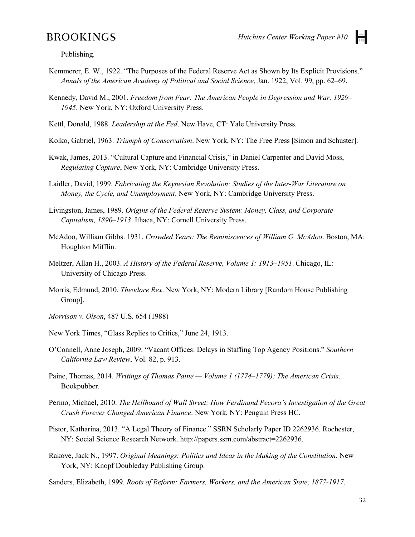l÷.

Publishing.

- Kemmerer, E. W., 1922. "The Purposes of the Federal Reserve Act as Shown by Its Explicit Provisions." *Annals of the American Academy of Political and Social Science,* Jan. 1922, Vol. 99, pp. 62–69.
- Kennedy, David M., 2001. *Freedom from Fear: The American People in Depression and War, 1929– 1945*. New York, NY: Oxford University Press.
- Kettl, Donald, 1988. *Leadership at the Fed*. New Have, CT: Yale University Press.
- Kolko, Gabriel, 1963. *Triumph of Conservatism*. New York, NY: The Free Press [Simon and Schuster].
- Kwak, James, 2013. "Cultural Capture and Financial Crisis," in Daniel Carpenter and David Moss, *Regulating Capture*, New York, NY: Cambridge University Press.
- Laidler, David, 1999. *Fabricating the Keynesian Revolution: Studies of the Inter-War Literature on Money, the Cycle, and Unemployment*. New York, NY: Cambridge University Press.
- Livingston, James, 1989. *Origins of the Federal Reserve System: Money, Class, and Corporate Capitalism, 1890–1913*. Ithaca, NY: Cornell University Press.
- McAdoo, William Gibbs. 1931. *Crowded Years: The Reminiscences of William G. McAdoo*. Boston, MA: Houghton Mifflin.
- Meltzer, Allan H., 2003. *A History of the Federal Reserve, Volume 1: 1913–1951*. Chicago, IL: University of Chicago Press.
- Morris, Edmund, 2010. *Theodore Rex*. New York, NY: Modern Library [Random House Publishing Group].
- *Morrison v. Olson*, 487 U.S. 654 (1988)
- New York Times, "Glass Replies to Critics," June 24, 1913.
- O'Connell, Anne Joseph, 2009. "Vacant Offices: Delays in Staffing Top Agency Positions." *Southern California Law Review*, Vol. 82, p. 913.
- Paine, Thomas, 2014. *Writings of Thomas Paine — Volume 1 (1774–1779): The American Crisis*. Bookpubber.
- Perino, Michael, 2010. *The Hellhound of Wall Street: How Ferdinand Pecora's Investigation of the Great Crash Forever Changed American Finance*. New York, NY: Penguin Press HC.
- Pistor, Katharina, 2013. "A Legal Theory of Finance." SSRN Scholarly Paper ID 2262936. Rochester, NY: Social Science Research Network. http://papers.ssrn.com/abstract=2262936.
- Rakove, Jack N., 1997. *Original Meanings: Politics and Ideas in the Making of the Constitution*. New York, NY: Knopf Doubleday Publishing Group.
- Sanders, Elizabeth, 1999. *Roots of Reform: Farmers, Workers, and the American State, 1877-1917*.